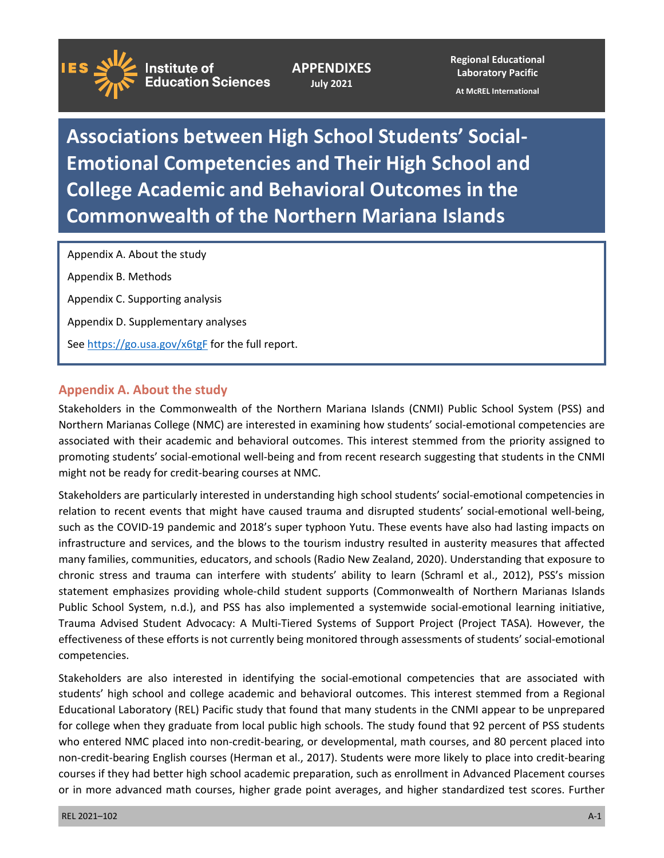**Institute of Education Sciences** 

**APPENDIXES July 2021** 

**Regional Educational Laboratory Pacific** 

**At McREL International** 

**Associations between High School Students' Social-Emotional Competencies and Their High School and College Academic and Behavioral Outcomes in the Commonwealth of the Northern Mariana Islands** 

Appendix A. About the study Appendix B. Methods Appendix C. Supporting analysis Appendix D. Supplementary analyses See <https://go.usa.gov/x6tgF>for the full report.

### **Appendix A. About the study**

 associated with their academic and behavioral outcomes. This interest stemmed from the priority assigned to Stakeholders in the Commonwealth of the Northern Mariana Islands (CNMI) Public School System (PSS) and Northern Marianas College (NMC) are interested in examining how students' social-emotional competencies are promoting students' social-emotional well-being and from recent research suggesting that students in the CNMI might not be ready for credit-bearing courses at NMC.

Stakeholders are particularly interested in understanding high school students' social-emotional competencies in relation to recent events that might have caused trauma and disrupted students' social-emotional well-being, such as the COVID-19 pandemic and 2018's super typhoon Yutu. These events have also had lasting impacts on infrastructure and services, and the blows to the tourism industry resulted in austerity measures that affected many families, communities, educators, and schools (Radio New Zealand, 2020). Understanding that exposure to chronic stress and trauma can interfere with students' ability to learn (Schraml et al., 2012), PSS's mission statement emphasizes providing whole-child student supports (Commonwealth of Northern Marianas Islands Public School System, n.d.), and PSS has also implemented a systemwide social-emotional learning initiative, Trauma Advised Student Advocacy: A Multi-Tiered Systems of Support Project (Project TASA)*.* However, the effectiveness of these efforts is not currently being monitored through assessments of students' social-emotional competencies.

 Educational Laboratory (REL) Pacific study that found that many students in the CNMI appear to be unprepared Stakeholders are also interested in identifying the social-emotional competencies that are associated with students' high school and college academic and behavioral outcomes. This interest stemmed from a Regional for college when they graduate from local public high schools. The study found that 92 percent of PSS students who entered NMC placed into non-credit-bearing, or developmental, math courses, and 80 percent placed into non-credit-bearing English courses (Herman et al., 2017). Students were more likely to place into credit-bearing courses if they had better high school academic preparation, such as enrollment in Advanced Placement courses or in more advanced math courses, higher grade point averages, and higher standardized test scores. Further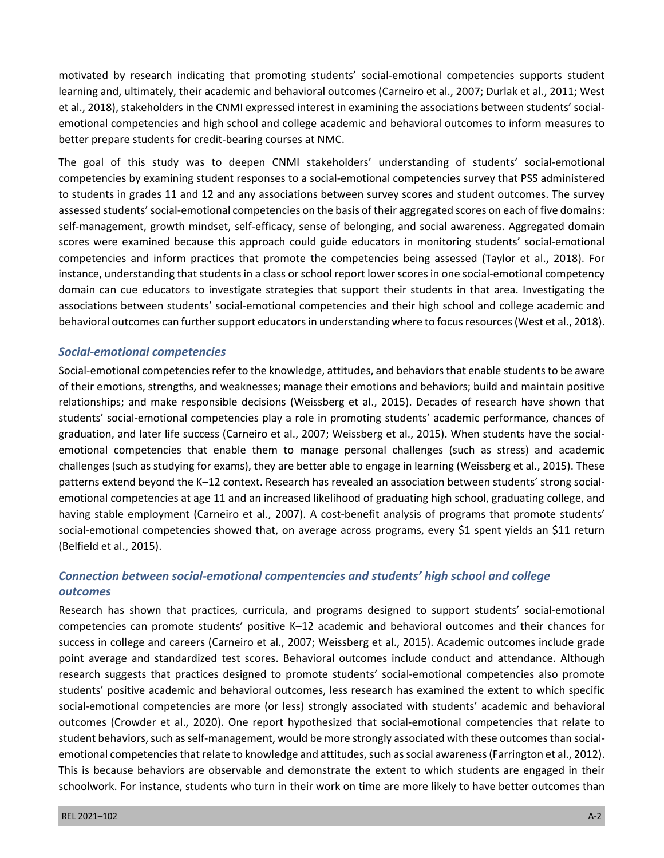motivated by research indicating that promoting students' social-emotional competencies supports student learning and, ultimately, their academic and behavioral outcomes (Carneiro et al., 2007; Durlak et al., 2011; West et al., 2018), stakeholders in the CNMI expressed interest in examining the associations between students' socialemotional competencies and high school and college academic and behavioral outcomes to inform measures to better prepare students for credit-bearing courses at NMC.

 self-management, growth mindset, self-efficacy, sense of belonging, and social awareness. Aggregated domain The goal of this study was to deepen CNMI stakeholders' understanding of students' social-emotional competencies by examining student responses to a social-emotional competencies survey that PSS administered to students in grades 11 and 12 and any associations between survey scores and student outcomes. The survey assessed students' social-emotional competencies on the basis of their aggregated scores on each of five domains: scores were examined because this approach could guide educators in monitoring students' social-emotional competencies and inform practices that promote the competencies being assessed (Taylor et al., 2018). For instance, understanding that students in a class or school report lower scores in one social-emotional competency domain can cue educators to investigate strategies that support their students in that area. Investigating the associations between students' social-emotional competencies and their high school and college academic and behavioral outcomes can further support educators in understanding where to focus resources (West et al., 2018).

### *Social-emotional competencies*

 emotional competencies at age 11 and an increased likelihood of graduating high school, graduating college, and Social-emotional competencies refer to the knowledge, attitudes, and behaviors that enable students to be aware of their emotions, strengths, and weaknesses; manage their emotions and behaviors; build and maintain positive relationships; and make responsible decisions (Weissberg et al., 2015). Decades of research have shown that students' social-emotional competencies play a role in promoting students' academic performance, chances of graduation, and later life success (Carneiro et al., 2007; Weissberg et al., 2015). When students have the socialemotional competencies that enable them to manage personal challenges (such as stress) and academic challenges (such as studying for exams), they are better able to engage in learning (Weissberg et al., 2015). These patterns extend beyond the K–12 context. Research has revealed an association between students' strong socialhaving stable employment (Carneiro et al., 2007). A cost-benefit analysis of programs that promote students' social-emotional competencies showed that, on average across programs, every \$1 spent yields an \$11 return (Belfield et al., 2015).

# *Connection between social-emotional compentencies and students' high school and college outcomes*

 outcomes (Crowder et al., 2020). One report hypothesized that social-emotional competencies that relate to Research has shown that practices, curricula, and programs designed to support students' social-emotional competencies can promote students' positive K–12 academic and behavioral outcomes and their chances for success in college and careers (Carneiro et al., 2007; Weissberg et al., 2015). Academic outcomes include grade point average and standardized test scores. Behavioral outcomes include conduct and attendance. Although research suggests that practices designed to promote students' social-emotional competencies also promote students' positive academic and behavioral outcomes, less research has examined the extent to which specific social-emotional competencies are more (or less) strongly associated with students' academic and behavioral student behaviors, such as self-management, would be more strongly associated with these outcomes than socialemotional competencies that relate to knowledge and attitudes, such as social awareness (Farrington et al., 2012). This is because behaviors are observable and demonstrate the extent to which students are engaged in their schoolwork. For instance, students who turn in their work on time are more likely to have better outcomes than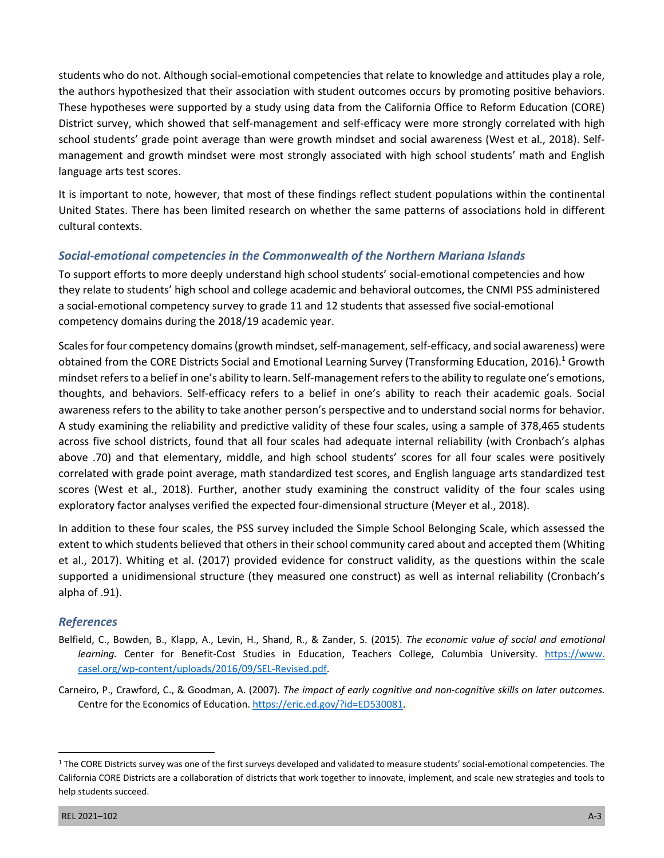the authors hypothesized that their association with student outcomes occurs by promoting positive behaviors. students who do not. Although social-emotional competencies that relate to knowledge and attitudes play a role, These hypotheses were supported by a study using data from the California Office to Reform Education (CORE) District survey, which showed that self-management and self-efficacy were more strongly correlated with high school students' grade point average than were growth mindset and social awareness (West et al., 2018). Selfmanagement and growth mindset were most strongly associated with high school students' math and English language arts test scores.

It is important to note, however, that most of these findings reflect student populations within the continental United States. There has been limited research on whether the same patterns of associations hold in different cultural contexts.

## *Social-emotional competencies in the Commonwealth of the Northern Mariana Islands*

To support efforts to more deeply understand high school students' social-emotional competencies and how they relate to students' high school and college academic and behavioral outcomes, the CNMI PSS administered a social-emotional competency survey to grade 11 and 12 students that assessed five social-emotional competency domains during the 2018/19 academic year.

Scales for four competency domains (growth mindset, self-management, self-efficacy, and social awareness) were obtained from the CORE Districts Social and Emotional Learning Survey (Transforming Education, 2016).<sup>1</sup> Growth mindset refers to a belief in one's ability to learn. Self-management refers to the ability to regulate one's emotions, thoughts, and behaviors. Self-efficacy refers to a belief in one's ability to reach their academic goals. Social awareness refers to the ability to take another person's perspective and to understand social norms for behavior. A study examining the reliability and predictive validity of these four scales, using a sample of 378,465 students across five school districts, found that all four scales had adequate internal reliability (with Cronbach's alphas above .70) and that elementary, middle, and high school students' scores for all four scales were positively correlated with grade point average, math standardized test scores, and English language arts standardized test scores (West et al., 2018). Further, another study examining the construct validity of the four scales using exploratory factor analyses verified the expected four-dimensional structure (Meyer et al., 2018).

In addition to these four scales, the PSS survey included the Simple School Belonging Scale, which assessed the extent to which students believed that others in their school community cared about and accepted them (Whiting et al., 2017). Whiting et al. (2017) provided evidence for construct validity, as the questions within the scale supported a unidimensional structure (they measured one construct) as well as internal reliability (Cronbach's alpha of .91).

## *References*

- Belfield, C., Bowden, B., Klapp, A., Levin, H., Shand, R., & Zander, S. (2015). *The economic value of social and emotional learning.* Center for Benefit-Cost Studies in Education, Teachers College, Columbia University. [https://www.](https://www.casel.org/wp-content/uploads/2016/09/SEL-Revised.pdf)  [casel.org/wp-content/uploads/2016/09/SEL-Revised.pdf.](https://www.casel.org/wp-content/uploads/2016/09/SEL-Revised.pdf)
- Carneiro, P., Crawford, C., & Goodman, A. (2007). *The impact of early cognitive and non-cognitive skills on later outcomes.*  Centre for the Economics of Education. [https://eric.ed.gov/?id=ED530081.](https://eric.ed.gov/?id=ED530081)

<sup>&</sup>lt;sup>1</sup> The CORE Districts survey was one of the first surveys developed and validated to measure students' social-emotional competencies. The California CORE Districts are a collaboration of districts that work together to innovate, implement, and scale new strategies and tools to help students succeed.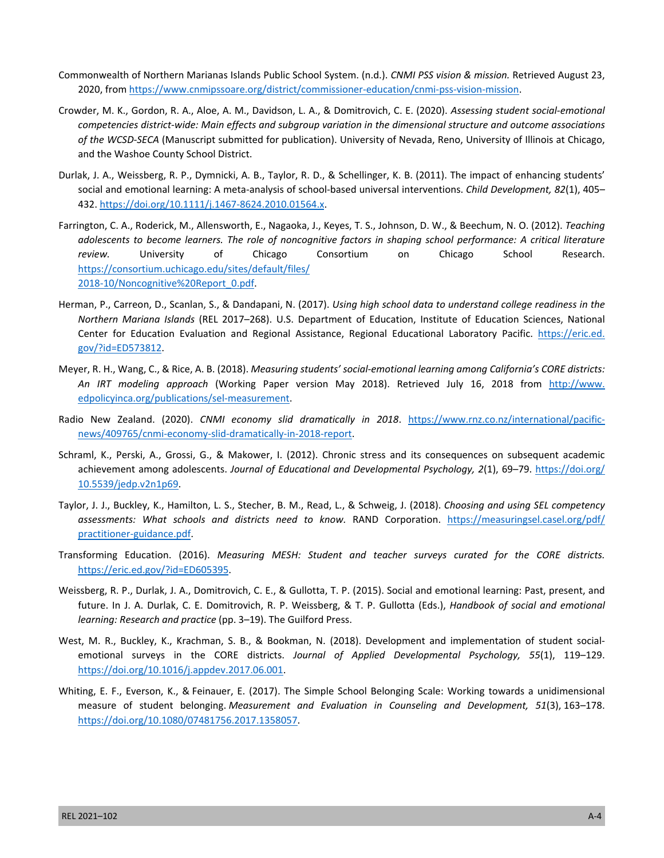- Commonwealth of Northern Marianas Islands Public School System. (n.d.). *CNMI PSS vision & mission.* Retrieved August 23, 2020, from [https://www.cnmipssoare.org/district/commissioner-education/cnmi-pss-vision-mission.](https://www.cnmipssoare.org/district/commissioner-education/cnmi-pss-vision-mission)
- Crowder, M. K., Gordon, R. A., Aloe, A. M., Davidson, L. A., & Domitrovich, C. E. (2020). *Assessing student social-emotional competencies district-wide: Main effects and subgroup variation in the dimensional structure and outcome associations of the WCSD-SECA* (Manuscript submitted for publication). University of Nevada, Reno, University of Illinois at Chicago, and the Washoe County School District.
- Durlak, J. A., Weissberg, R. P., Dymnicki, A. B., Taylor, R. D., & Schellinger, K. B. (2011). The impact of enhancing students' social and emotional learning: A meta-analysis of school-based universal interventions. *Child Development, 82*(1), 405– 432. [https://doi.org/10.1111/j.1467-8624.2010.01564.x.](https://doi.org/10.1111/j.1467-8624.2010.01564.x)
- Farrington, C. A., Roderick, M., Allensworth, E., Nagaoka, J., Keyes, T. S., Johnson, D. W., & Beechum, N. O. (2012). *Teaching adolescents to become learners. The role of noncognitive factors in shaping school performance: A critical literature review.* University of Chicago Consortium on Chicago School Research. [https://consortium.uchicago.edu/sites/default/files/](https://consortium.uchicago.edu/sites/default/files/2018-10/Noncognitive%20Report_0.pdf)  [2018-10/Noncognitive%20Report\\_0.pdf.](https://consortium.uchicago.edu/sites/default/files/2018-10/Noncognitive%20Report_0.pdf)
- Herman, P., Carreon, D., Scanlan, S., & Dandapani, N. (2017). *Using high school data to understand college readiness in the Northern Mariana Islands* (REL 2017–268). U.S. Department of Education, Institute of Education Sciences, National Center for Education Evaluation and Regional Assistance, Regional Educational Laboratory Pacific. [https://eric.ed.](https://eric.ed.gov/?id=ED573812)  [gov/?id=ED573812](https://eric.ed.gov/?id=ED573812).
- Meyer, R. H., Wang, C., & Rice, A. B. (2018). *Measuring students' social-emotional learning among California's CORE districts: An IRT modeling approach* (Working Paper version May 2018). Retrieved July 16, 2018 from [http://www.](http://www.edpolicyinca.org/publications/sel-measurement)  [edpolicyinca.org/publications/sel-measurement](http://www.edpolicyinca.org/publications/sel-measurement).
- Radio New Zealand. (2020). *CNMI economy slid dramatically in 2018*. [https://www.rnz.co.nz/international/pacific](https://www.rnz.co.nz/international/pacific-news/409765/cnmi-economy-slid-dramatically-in-2018-report)[news/409765/cnmi-economy-slid-dramatically-in-2018-report](https://www.rnz.co.nz/international/pacific-news/409765/cnmi-economy-slid-dramatically-in-2018-report).
- Schraml, K., Perski, A., Grossi, G., & Makower, I. (2012). Chronic stress and its consequences on subsequent academic achievement among adolescents. *Journal of Educational and Developmental Psychology, 2*(1), 69–79. [https://doi.org/](https://doi.org/10.5539/jedp.v2n1p69)  [10.5539/jedp.v2n1p69](https://doi.org/10.5539/jedp.v2n1p69).
- Taylor, J. J., Buckley, K., Hamilton, L. S., Stecher, B. M., Read, L., & Schweig, J. (2018). *Choosing and using SEL competency assessments: What schools and districts need to know.* RAND Corporation. [https://measuringsel.casel.org/pdf/](https://measuringsel.casel.org/pdf/practitioner-guidance.pdf)  [practitioner-guidance.pdf.](https://measuringsel.casel.org/pdf/practitioner-guidance.pdf)
- Transforming Education. (2016). *Measuring MESH: Student and teacher surveys curated for the CORE districts.*  [https://eric.ed.gov/?id=ED605395.](https://eric.ed.gov/?id=ED605395)
- Weissberg, R. P., Durlak, J. A., Domitrovich, C. E., & Gullotta, T. P. (2015). Social and emotional learning: Past, present, and future. In J. A. Durlak, C. E. Domitrovich, R. P. Weissberg, & T. P. Gullotta (Eds.), *Handbook of social and emotional learning: Research and practice* (pp. 3–19). The Guilford Press.
- West, M. R., Buckley, K., Krachman, S. B., & Bookman, N. (2018). Development and implementation of student socialemotional surveys in the CORE districts. *Journal of Applied Developmental Psychology, 55*(1), 119–129. [https://doi.org/10.1016/j.appdev.2017.06.001.](https://doi.org/10.1016/j.appdev.2017.06.001)
- Whiting, E. F., Everson, K., & Feinauer, E. (2017). The Simple School Belonging Scale: Working towards a unidimensional measure of student belonging. *Measurement and Evaluation in Counseling and Development, 51*(3), 163–178. <https://doi.org/10.1080/07481756.2017.1358057>.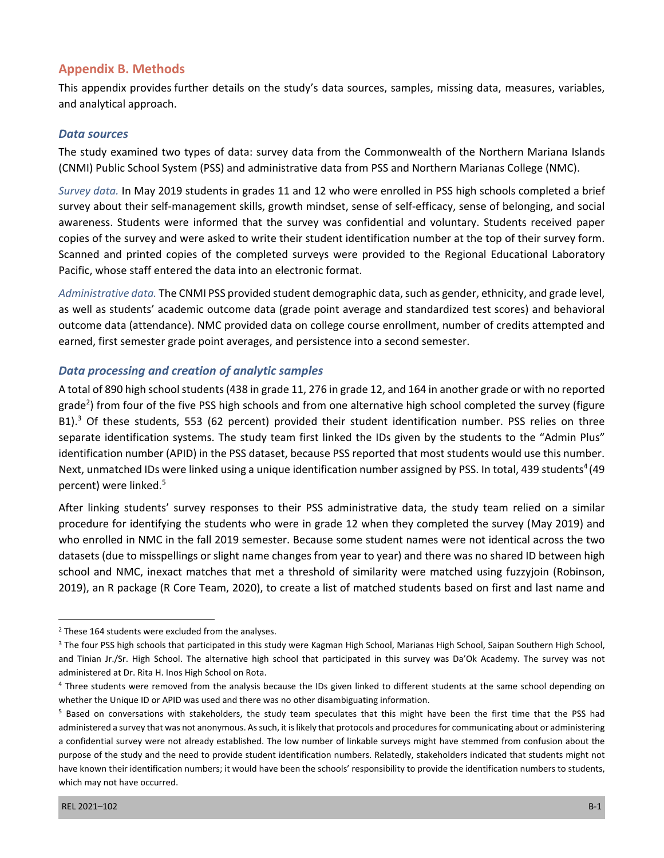### **Appendix B. Methods**

This appendix provides further details on the study's data sources, samples, missing data, measures, variables, and analytical approach.

#### *Data sources*

The study examined two types of data: survey data from the Commonwealth of the Northern Mariana Islands (CNMI) Public School System (PSS) and administrative data from PSS and Northern Marianas College (NMC).

*Survey data.* In May 2019 students in grades 11 and 12 who were enrolled in PSS high schools completed a brief survey about their self-management skills, growth mindset, sense of self-efficacy, sense of belonging, and social awareness. Students were informed that the survey was confidential and voluntary. Students received paper copies of the survey and were asked to write their student identification number at the top of their survey form. Scanned and printed copies of the completed surveys were provided to the Regional Educational Laboratory Pacific, whose staff entered the data into an electronic format.

*Administrative data.* The CNMI PSS provided student demographic data, such as gender, ethnicity, and grade level, as well as students' academic outcome data (grade point average and standardized test scores) and behavioral outcome data (attendance). NMC provided data on college course enrollment, number of credits attempted and earned, first semester grade point averages, and persistence into a second semester.

#### *Data processing and creation of analytic samples*

A total of 890 high school students (438 in grade 11, 276 in grade 12, and 164 in another grade or with no reported grade<sup>2</sup>) from four of the five PSS high schools and from one alternative high school completed the survey (figure B1).<sup>3</sup> Of these students, 553 (62 percent) provided their student identification number. PSS relies on three separate identification systems. The study team first linked the IDs given by the students to the "Admin Plus" identification number (APID) in the PSS dataset, because PSS reported that most students would use this number. Next, unmatched IDs were linked using a unique identification number assigned by PSS. In total, 439 students<sup>4</sup> (49 percent) were linked.5

After linking students' survey responses to their PSS administrative data, the study team relied on a similar procedure for identifying the students who were in grade 12 when they completed the survey (May 2019) and who enrolled in NMC in the fall 2019 semester. Because some student names were not identical across the two datasets (due to misspellings or slight name changes from year to year) and there was no shared ID between high school and NMC, inexact matches that met a threshold of similarity were matched using fuzzyjoin (Robinson, 2019), an R package (R Core Team, 2020), to create a list of matched students based on first and last name and

<sup>&</sup>lt;sup>2</sup> These 164 students were excluded from the analyses.

<sup>&</sup>lt;sup>3</sup> The four PSS high schools that participated in this study were Kagman High School, Marianas High School, Saipan Southern High School, and Tinian Jr./Sr. High School. The alternative high school that participated in this survey was Da'Ok Academy. The survey was not administered at Dr. Rita H. Inos High School on Rota.

<sup>&</sup>lt;sup>4</sup> Three students were removed from the analysis because the IDs given linked to different students at the same school depending on whether the Unique ID or APID was used and there was no other disambiguating information.

<sup>&</sup>lt;sup>5</sup> Based on conversations with stakeholders, the study team speculates that this might have been the first time that the PSS had administered a survey that was not anonymous. As such, it is likely that protocols and procedures for communicating about or administering a confidential survey were not already established. The low number of linkable surveys might have stemmed from confusion about the purpose of the study and the need to provide student identification numbers. Relatedly, stakeholders indicated that students might not have known their identification numbers; it would have been the schools' responsibility to provide the identification numbers to students, which may not have occurred.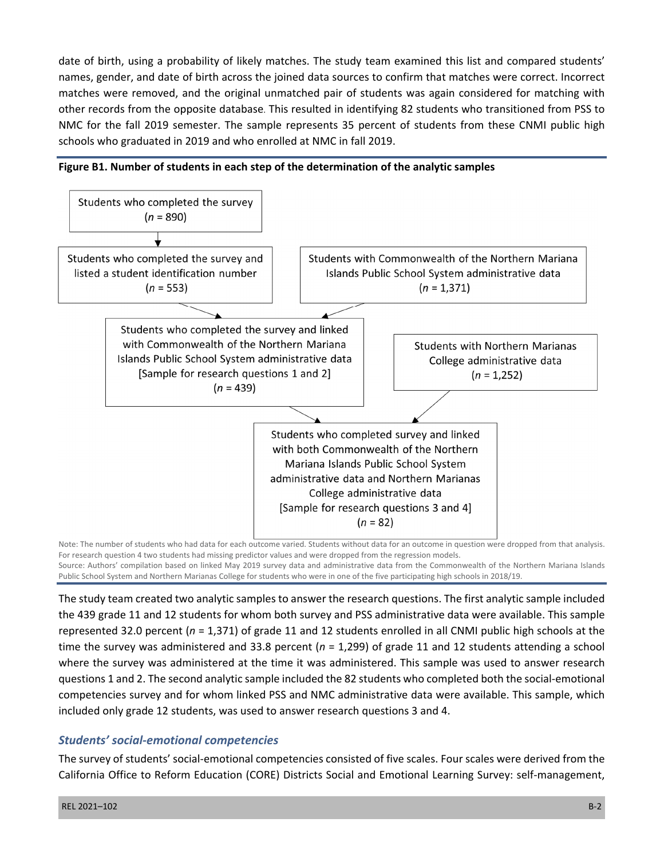date of birth, using a probability of likely matches. The study team examined this list and compared students' names, gender, and date of birth across the joined data sources to confirm that matches were correct. Incorrect matches were removed, and the original unmatched pair of students was again considered for matching with other records from the opposite database. This resulted in identifying 82 students who transitioned from PSS to NMC for the fall 2019 semester. The sample represents 35 percent of students from these CNMI public high schools who graduated in 2019 and who enrolled at NMC in fall 2019.





Note: The number of students who had data for each outcome varied. Students without data for an outcome in question were dropped from that analysis. For research question 4 two students had missing predictor values and were dropped from the regression models. Source: Authors' compilation based on linked May 2019 survey data and administrative data from the Commonwealth of the Northern Mariana Islands

Public School System and Northern Marianas College for students who were in one of the five participating high schools in 2018/19.

The study team created two analytic samples to answer the research questions. The first analytic sample included the 439 grade 11 and 12 students for whom both survey and PSS administrative data were available. This sample represented 32.0 percent (*n* = 1,371) of grade 11 and 12 students enrolled in all CNMI public high schools at the time the survey was administered and 33.8 percent (*n* = 1,299) of grade 11 and 12 students attending a school where the survey was administered at the time it was administered. This sample was used to answer research questions 1 and 2. The second analytic sample included the 82 students who completed both the social-emotional competencies survey and for whom linked PSS and NMC administrative data were available. This sample, which included only grade 12 students, was used to answer research questions 3 and 4.

# *Students' social-emotional competencies*

The survey of students' social-emotional competencies consisted of five scales. Four scales were derived from the California Office to Reform Education (CORE) Districts Social and Emotional Learning Survey: self-management,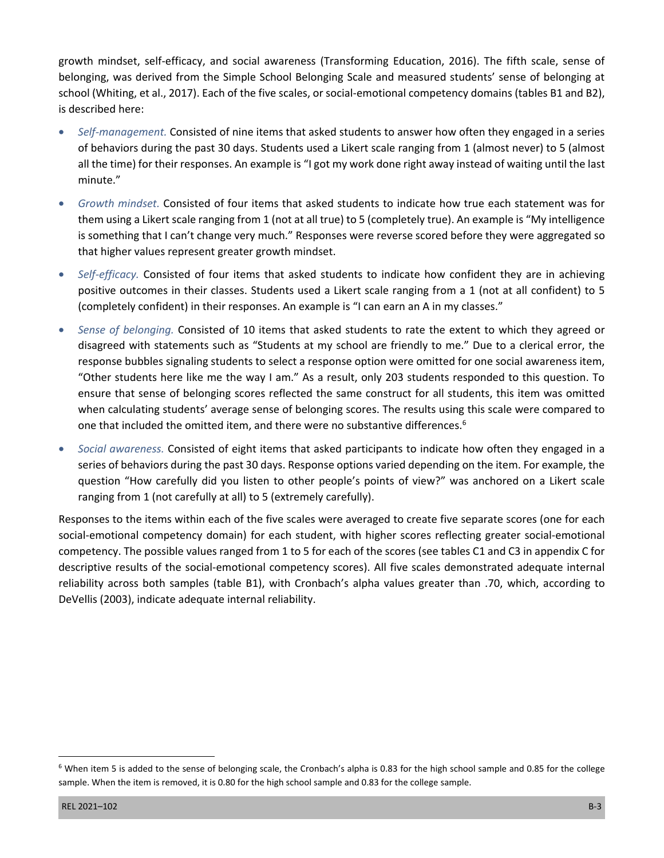growth mindset, self-efficacy, and social awareness (Transforming Education, 2016). The fifth scale, sense of belonging, was derived from the Simple School Belonging Scale and measured students' sense of belonging at school (Whiting, et al., 2017). Each of the five scales, or social-emotional competency domains (tables B1 and B2), is described here:

- Self-management. Consisted of nine items that asked students to answer how often they engaged in a series of behaviors during the past 30 days. Students used a Likert scale ranging from 1 (almost never) to 5 (almost all the time) for their responses. An example is "I got my work done right away instead of waiting until the last minute."
- is something that I can't change very much." Responses were reverse scored before they were aggregated so • *Growth mindset.* Consisted of four items that asked students to indicate how true each statement was for them using a Likert scale ranging from 1 (not at all true) to 5 (completely true). An example is "My intelligence that higher values represent greater growth mindset.
- *Self-efficacy.* Consisted of four items that asked students to indicate how confident they are in achieving positive outcomes in their classes. Students used a Likert scale ranging from a 1 (not at all confident) to 5 (completely confident) in their responses. An example is "I can earn an A in my classes."
- Sense of belonging. Consisted of 10 items that asked students to rate the extent to which they agreed or disagreed with statements such as "Students at my school are friendly to me." Due to a clerical error, the response bubbles signaling students to select a response option were omitted for one social awareness item, "Other students here like me the way I am." As a result, only 203 students responded to this question. To ensure that sense of belonging scores reflected the same construct for all students, this item was omitted when calculating students' average sense of belonging scores. The results using this scale were compared to one that included the omitted item, and there were no substantive differences.<sup>6</sup>
- Social awareness. Consisted of eight items that asked participants to indicate how often they engaged in a series of behaviors during the past 30 days. Response options varied depending on the item. For example, the question "How carefully did you listen to other people's points of view?" was anchored on a Likert scale ranging from 1 (not carefully at all) to 5 (extremely carefully).

Responses to the items within each of the five scales were averaged to create five separate scores (one for each social-emotional competency domain) for each student, with higher scores reflecting greater social-emotional competency. The possible values ranged from 1 to 5 for each of the scores (see tables C1 and C3 in appendix C for descriptive results of the social-emotional competency scores). All five scales demonstrated adequate internal reliability across both samples (table B1), with Cronbach's alpha values greater than .70, which, according to DeVellis (2003), indicate adequate internal reliability.

<sup>&</sup>lt;sup>6</sup> When item 5 is added to the sense of belonging scale, the Cronbach's alpha is 0.83 for the high school sample and 0.85 for the college sample. When the item is removed, it is 0.80 for the high school sample and 0.83 for the college sample.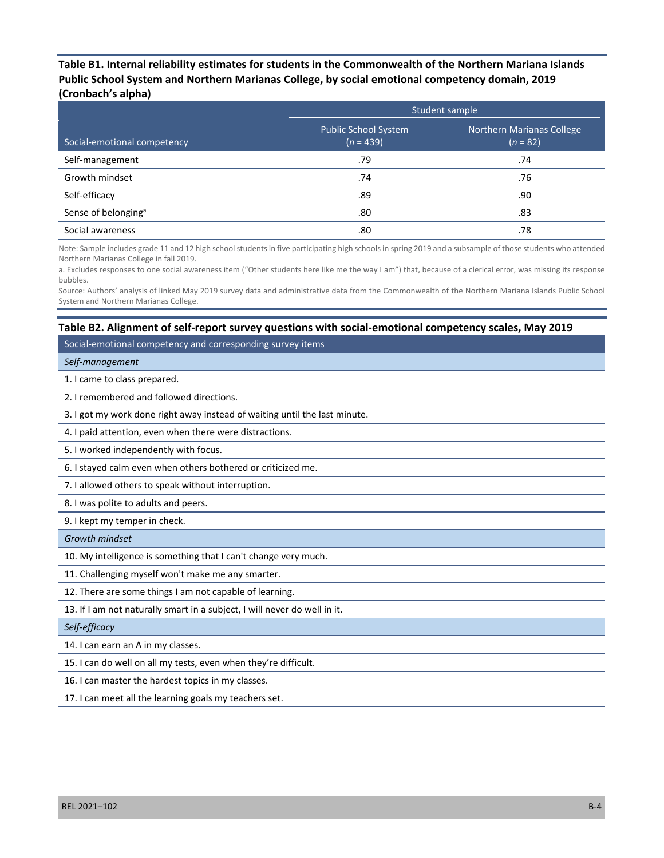**Table B1. Internal reliability estimates for students in the Commonwealth of the Northern Mariana Islands Public School System and Northern Marianas College, by social emotional competency domain, 2019 (Cronbach's alpha)** 

|                                 |                                            | Student sample                                 |  |  |  |
|---------------------------------|--------------------------------------------|------------------------------------------------|--|--|--|
| Social-emotional competency     | <b>Public School System</b><br>$(n = 439)$ | <b>Northern Marianas College</b><br>$(n = 82)$ |  |  |  |
| Self-management                 | .79                                        | .74                                            |  |  |  |
| Growth mindset                  | .74                                        | .76                                            |  |  |  |
| Self-efficacy                   | .89                                        | .90                                            |  |  |  |
| Sense of belonging <sup>a</sup> | .80                                        | .83                                            |  |  |  |
| Social awareness                | .80                                        | .78                                            |  |  |  |

Note: Sample includes grade 11 and 12 high school students in five participating high schools in spring 2019 and a subsample of those students who attended Northern Marianas College in fall 2019.

a. Excludes responses to one social awareness item ("Other students here like me the way I am") that, because of a clerical error, was missing its response bubbles.

Source: Authors' analysis of linked May 2019 survey data and administrative data from the Commonwealth of the Northern Mariana Islands Public School System and Northern Marianas College.

#### **Table B2. Alignment of self-report survey questions with social-emotional competency scales, May 2019**

Social-emotional competency and corresponding survey items

#### *Self-management*

1. I came to class prepared.

2. I remembered and followed directions.

3. I got my work done right away instead of waiting until the last minute.

4. I paid attention, even when there were distractions.

5. I worked independently with focus.

6. I stayed calm even when others bothered or criticized me.

7. I allowed others to speak without interruption.

8. I was polite to adults and peers.

9. I kept my temper in check.

*Growth mindset* 

10. My intelligence is something that I can't change very much.

11. Challenging myself won't make me any smarter.

12. There are some things I am not capable of learning.

13. If I am not naturally smart in a subject, I will never do well in it.

#### *Self-efficacy*

14. I can earn an A in my classes.

15. I can do well on all my tests, even when they're difficult.

16. I can master the hardest topics in my classes.

17. I can meet all the learning goals my teachers set.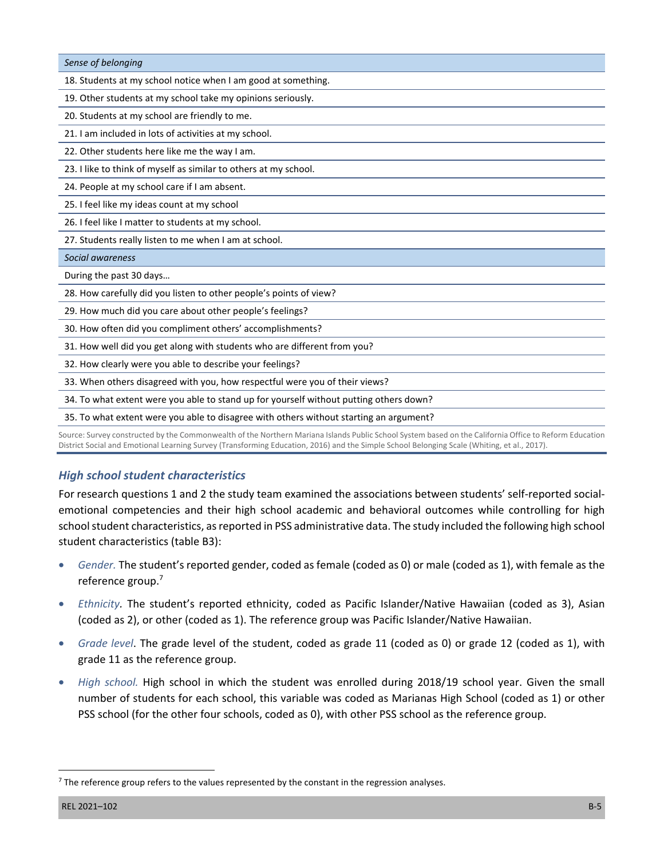| Sense of belonging                                                                                                                                     |
|--------------------------------------------------------------------------------------------------------------------------------------------------------|
| 18. Students at my school notice when I am good at something.                                                                                          |
| 19. Other students at my school take my opinions seriously.                                                                                            |
| 20. Students at my school are friendly to me.                                                                                                          |
| 21. I am included in lots of activities at my school.                                                                                                  |
| 22. Other students here like me the way I am.                                                                                                          |
| 23. I like to think of myself as similar to others at my school.                                                                                       |
| 24. People at my school care if I am absent.                                                                                                           |
| 25. I feel like my ideas count at my school                                                                                                            |
| 26. I feel like I matter to students at my school.                                                                                                     |
| 27. Students really listen to me when I am at school.                                                                                                  |
| Social awareness                                                                                                                                       |
| During the past 30 days                                                                                                                                |
| 28. How carefully did you listen to other people's points of view?                                                                                     |
| 29. How much did you care about other people's feelings?                                                                                               |
| 30. How often did you compliment others' accomplishments?                                                                                              |
| 31. How well did you get along with students who are different from you?                                                                               |
| 32. How clearly were you able to describe your feelings?                                                                                               |
| 33. When others disagreed with you, how respectful were you of their views?                                                                            |
| 34. To what extent were you able to stand up for yourself without putting others down?                                                                 |
| 35. To what extent were you able to disagree with others without starting an argument?                                                                 |
| Source: Survey constructed by the Commonwealth of the Northern Mariana Islands Public School System based on the California Office to Reform Education |

Source: Survey constructed by the Commonwealth of the Northern Mariana Islands Public School System based on the California Office to Reform Education District Social and Emotional Learning Survey (Transforming Education, 2016) and the Simple School Belonging Scale (Whiting, et al., 2017).

# *High school student characteristics*

For research questions 1 and 2 the study team examined the associations between students' self-reported socialemotional competencies and their high school academic and behavioral outcomes while controlling for high school student characteristics, as reported in PSS administrative data. The study included the following high school student characteristics (table B3):

- Gender. The student's reported gender, coded as female (coded as 0) or male (coded as 1), with female as the reference group.<sup>7</sup>
- *Ethnicity*. The student's reported ethnicity, coded as Pacific Islander/Native Hawaiian (coded as 3), Asian (coded as 2), or other (coded as 1). The reference group was Pacific Islander/Native Hawaiian.
- Grade level. The grade level of the student, coded as grade 11 (coded as 0) or grade 12 (coded as 1), with grade 11 as the reference group.
- • *High school.* High school in which the student was enrolled during 2018/19 school year. Given the small number of students for each school, this variable was coded as Marianas High School (coded as 1) or other PSS school (for the other four schools, coded as 0), with other PSS school as the reference group.

 $7$  The reference group refers to the values represented by the constant in the regression analyses.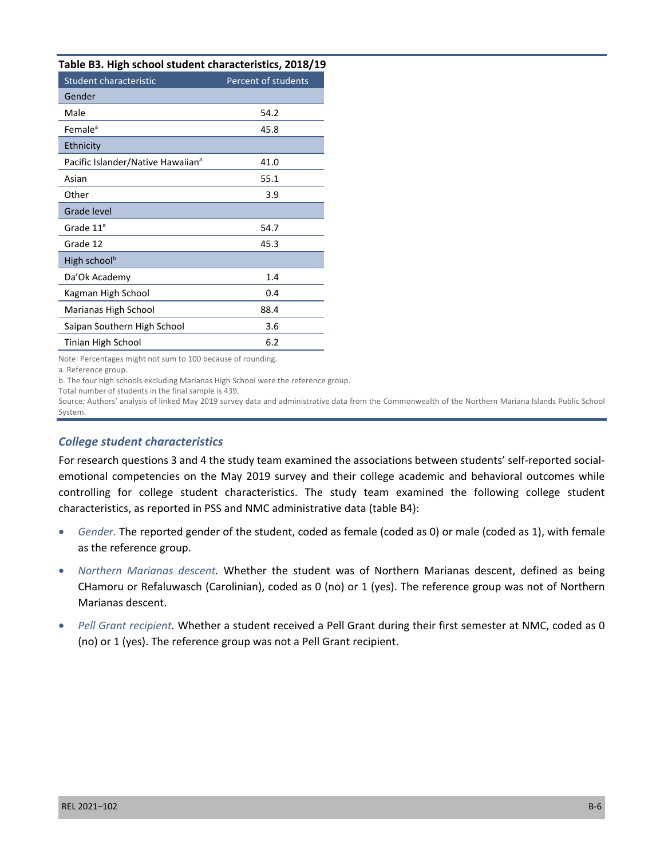|  |  | Table B3. High school student characteristics, 2018/19 |  |  |
|--|--|--------------------------------------------------------|--|--|
|--|--|--------------------------------------------------------|--|--|

| Table DJ. Tiigii senoof staacht enaracteristics, 2010/13 |                     |
|----------------------------------------------------------|---------------------|
| Student characteristic                                   | Percent of students |
| Gender                                                   |                     |
| Male                                                     | 54.2                |
| Female <sup>a</sup>                                      | 45.8                |
| Ethnicity                                                |                     |
| Pacific Islander/Native Hawaiian <sup>a</sup>            | 41.0                |
| Asian                                                    | 55.1                |
| Other                                                    | 3.9                 |
| Grade level                                              |                     |
| Grade $11^a$                                             | 54.7                |
| Grade 12                                                 | 45.3                |
| High school <sup>b</sup>                                 |                     |
| Da'Ok Academy                                            | 1.4                 |
| Kagman High School                                       | 0.4                 |
| Marianas High School                                     | 88.4                |
| Saipan Southern High School                              | 3.6                 |
| Tinian High School                                       | 6.2                 |
|                                                          |                     |

Note: Percentages might not sum to 100 because of rounding.

a. Reference group.

b. The four high schools excluding Marianas High School were the reference group.

Total number of students in the final sample is 439.

Source*:* Authors' analysis of linked May 2019 survey data and administrative data from the Commonwealth of the Northern Mariana Islands Public School System.

### *College student characteristics*

For research questions 3 and 4 the study team examined the associations between students' self-reported socialemotional competencies on the May 2019 survey and their college academic and behavioral outcomes while controlling for college student characteristics. The study team examined the following college student characteristics, as reported in PSS and NMC administrative data (table B4):

- • *Gender.* The reported gender of the student, coded as female (coded as 0) or male (coded as 1), with female as the reference group.
- • *Northern Marianas descent.* Whether the student was of Northern Marianas descent, defined as being CHamoru or Refaluwasch (Carolinian), coded as 0 (no) or 1 (yes). The reference group was not of Northern Marianas descent.
- Pell Grant recipient. Whether a student received a Pell Grant during their first semester at NMC, coded as 0 (no) or 1 (yes). The reference group was not a Pell Grant recipient.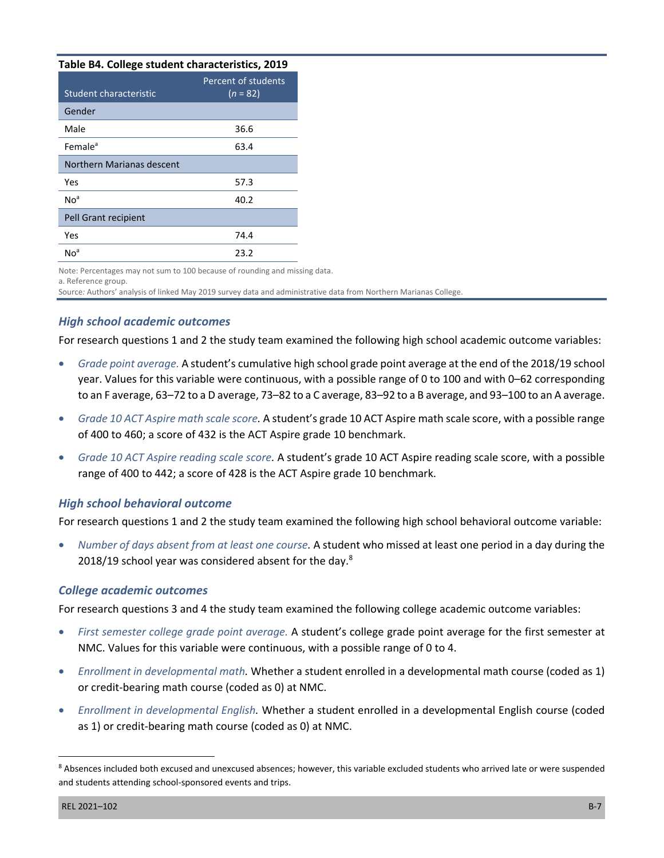#### **Table B4. College student characteristics, 2019**

| Student characteristic    | Percent of students<br>$(n = 82)$ |
|---------------------------|-----------------------------------|
| Gender                    |                                   |
| Male                      | 36.6                              |
| Female <sup>a</sup>       | 63.4                              |
| Northern Marianas descent |                                   |
| Yes                       | 57.3                              |
| No <sup>a</sup>           | 40.2                              |
| Pell Grant recipient      |                                   |
| Yes                       | 74.4                              |
| No <sup>a</sup>           | 23.2                              |

Note: Percentages may not sum to 100 because of rounding and missing data.

a. Reference group.

Source*:* Authors' analysis of linked May 2019 survey data and administrative data from Northern Marianas College.

## *High school academic outcomes*

For research questions 1 and 2 the study team examined the following high school academic outcome variables:

- Grade point average. A student's cumulative high school grade point average at the end of the 2018/19 school year. Values for this variable were continuous, with a possible range of 0 to 100 and with 0–62 corresponding to an F average, 63–72 to a D average, 73–82 to a C average, 83–92 to a B average, and 93–100 to an A average.
- • *Grade 10 ACT Aspire math scale score.* A student's grade 10 ACT Aspire math scale score, with a possible range of 400 to 460; a score of 432 is the ACT Aspire grade 10 benchmark.
- Grade 10 ACT Aspire reading scale score. A student's grade 10 ACT Aspire reading scale score, with a possible range of 400 to 442; a score of 428 is the ACT Aspire grade 10 benchmark.

## *High school behavioral outcome*

For research questions 1 and 2 the study team examined the following high school behavioral outcome variable:

• *Number of days absent from at least one course.* A student who missed at least one period in a day during the 2018/19 school year was considered absent for the day.<sup>8</sup>

### *College academic outcomes*

For research questions 3 and 4 the study team examined the following college academic outcome variables:

- First semester college grade point average. A student's college grade point average for the first semester at NMC. Values for this variable were continuous, with a possible range of 0 to 4.
- • *Enrollment in developmental math.* Whether a student enrolled in a developmental math course (coded as 1) or credit-bearing math course (coded as 0) at NMC.
- • *Enrollment in developmental English.* Whether a student enrolled in a developmental English course (coded as 1) or credit-bearing math course (coded as 0) at NMC.

<sup>8</sup> Absences included both excused and unexcused absences; however, this variable excluded students who arrived late or were suspended and students attending school-sponsored events and trips.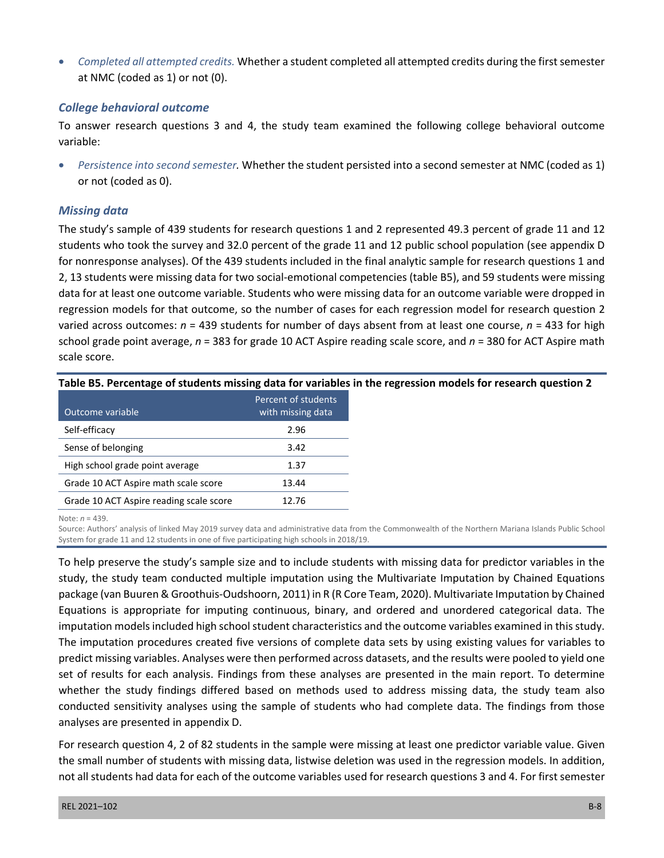• *Completed all attempted credits.* Whether a student completed all attempted credits during the first semester at NMC (coded as 1) or not (0).

### *College behavioral outcome*

To answer research questions 3 and 4, the study team examined the following college behavioral outcome variable:

Persistence into second semester. Whether the student persisted into a second semester at NMC (coded as 1) or not (coded as 0).

## *Missing data*

 varied across outcomes: *n* = 439 students for number of days absent from at least one course, *n* = 433 for high The study's sample of 439 students for research questions 1 and 2 represented 49.3 percent of grade 11 and 12 students who took the survey and 32.0 percent of the grade 11 and 12 public school population (see appendix D for nonresponse analyses). Of the 439 students included in the final analytic sample for research questions 1 and 2, 13 students were missing data for two social-emotional competencies (table B5), and 59 students were missing data for at least one outcome variable. Students who were missing data for an outcome variable were dropped in regression models for that outcome, so the number of cases for each regression model for research question 2 school grade point average, *n* = 383 for grade 10 ACT Aspire reading scale score, and *n* = 380 for ACT Aspire math scale score.

| Outcome variable                        | Percent of students<br>with missing data |
|-----------------------------------------|------------------------------------------|
| Self-efficacy                           | 2.96                                     |
| Sense of belonging                      | 3.42                                     |
| High school grade point average         | 1.37                                     |
| Grade 10 ACT Aspire math scale score    | 13.44                                    |
| Grade 10 ACT Aspire reading scale score | 12.76                                    |

**Table B5. Percentage of students missing data for variables in the regression models for research question 2** 

Note: *n* = 439.

Source: Authors' analysis of linked May 2019 survey data and administrative data from the Commonwealth of the Northern Mariana Islands Public School System for grade 11 and 12 students in one of five participating high schools in 2018/19.

 To help preserve the study's sample size and to include students with missing data for predictor variables in the study, the study team conducted multiple imputation using the Multivariate Imputation by Chained Equations whether the study findings differed based on methods used to address missing data, the study team also analyses are presented in appendix D. package (van Buuren & Groothuis-Oudshoorn, 2011) in R (R Core Team, 2020). Multivariate Imputation by Chained Equations is appropriate for imputing continuous, binary, and ordered and unordered categorical data. The imputation models included high school student characteristics and the outcome variables examined in this study. The imputation procedures created five versions of complete data sets by using existing values for variables to predict missing variables. Analyses were then performed across datasets, and the results were pooled to yield one set of results for each analysis. Findings from these analyses are presented in the main report. To determine conducted sensitivity analyses using the sample of students who had complete data. The findings from those

For research question 4, 2 of 82 students in the sample were missing at least one predictor variable value. Given the small number of students with missing data, listwise deletion was used in the regression models. In addition, not all students had data for each of the outcome variables used for research questions 3 and 4. For first semester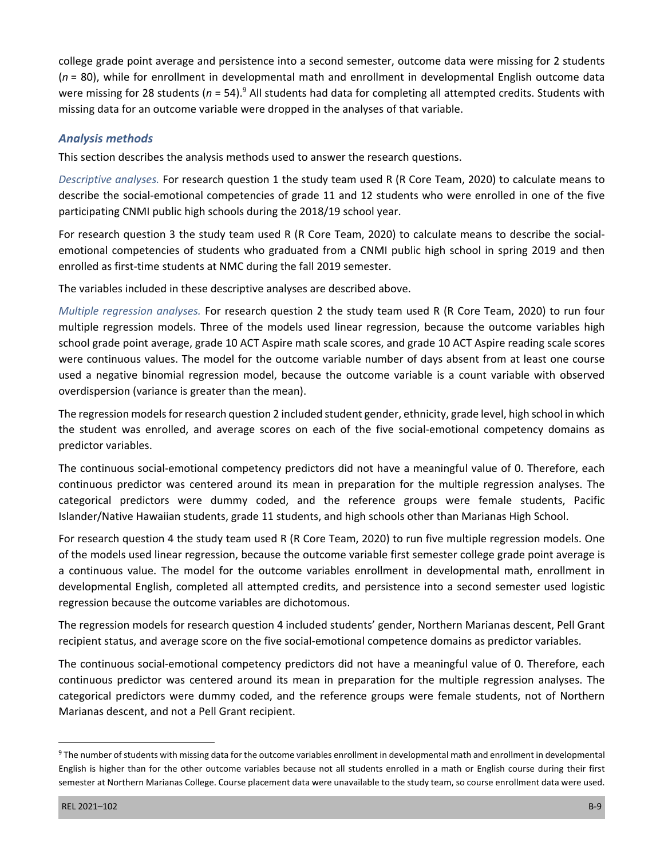college grade point average and persistence into a second semester, outcome data were missing for 2 students (*n* = 80), while for enrollment in developmental math and enrollment in developmental English outcome data were missing for 28 students (n = 54).<sup>9</sup> All students had data for completing all attempted credits. Students with missing data for an outcome variable were dropped in the analyses of that variable.

## *Analysis methods*

This section describes the analysis methods used to answer the research questions.

*Descriptive analyses.* For research question 1 the study team used R (R Core Team, 2020) to calculate means to describe the social-emotional competencies of grade 11 and 12 students who were enrolled in one of the five participating CNMI public high schools during the 2018/19 school year.

For research question 3 the study team used R (R Core Team, 2020) to calculate means to describe the socialemotional competencies of students who graduated from a CNMI public high school in spring 2019 and then enrolled as first-time students at NMC during the fall 2019 semester.

The variables included in these descriptive analyses are described above.

*Multiple regression analyses.* For research question 2 the study team used R (R Core Team, 2020) to run four multiple regression models. Three of the models used linear regression, because the outcome variables high school grade point average, grade 10 ACT Aspire math scale scores, and grade 10 ACT Aspire reading scale scores were continuous values. The model for the outcome variable number of days absent from at least one course used a negative binomial regression model, because the outcome variable is a count variable with observed overdispersion (variance is greater than the mean).

The regression models for research question 2 included student gender, ethnicity, grade level, high school in which the student was enrolled, and average scores on each of the five social-emotional competency domains as predictor variables.

Islander/Native Hawaiian students, grade 11 students, and high schools other than Marianas High School. The continuous social-emotional competency predictors did not have a meaningful value of 0. Therefore, each continuous predictor was centered around its mean in preparation for the multiple regression analyses. The categorical predictors were dummy coded, and the reference groups were female students, Pacific

For research question 4 the study team used R (R Core Team, 2020) to run five multiple regression models. One of the models used linear regression, because the outcome variable first semester college grade point average is a continuous value. The model for the outcome variables enrollment in developmental math, enrollment in developmental English, completed all attempted credits, and persistence into a second semester used logistic regression because the outcome variables are dichotomous.

The regression models for research question 4 included students' gender, Northern Marianas descent, Pell Grant recipient status, and average score on the five social-emotional competence domains as predictor variables.

The continuous social-emotional competency predictors did not have a meaningful value of 0. Therefore, each continuous predictor was centered around its mean in preparation for the multiple regression analyses. The categorical predictors were dummy coded, and the reference groups were female students, not of Northern Marianas descent, and not a Pell Grant recipient.

<sup>&</sup>lt;sup>9</sup> The number of students with missing data for the outcome variables enrollment in developmental math and enrollment in developmental English is higher than for the other outcome variables because not all students enrolled in a math or English course during their first semester at Northern Marianas College. Course placement data were unavailable to the study team, so course enrollment data were used.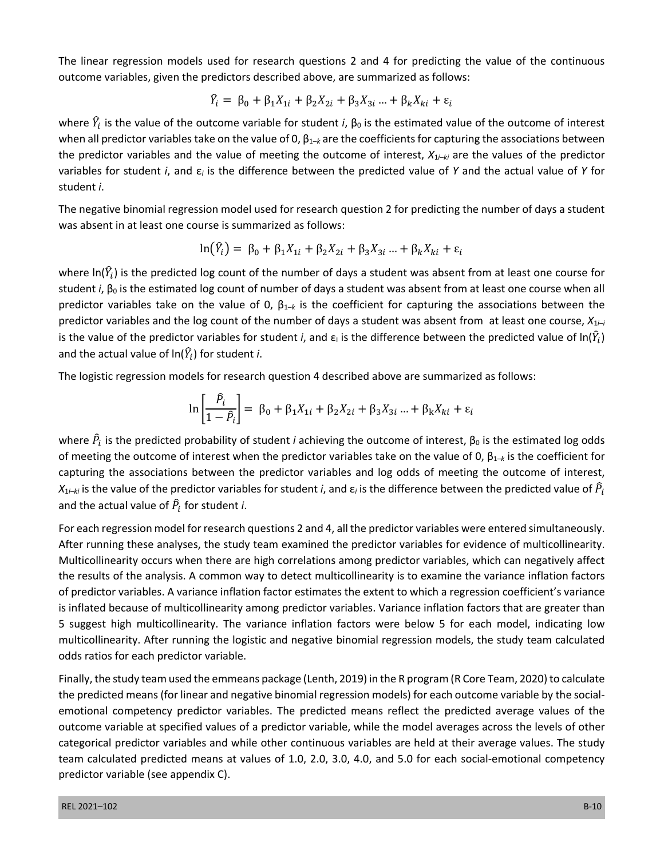The linear regression models used for research questions 2 and 4 for predicting the value of the continuous outcome variables, given the predictors described above, are summarized as follows:

$$
\hat{Y}_i = \beta_0 + \beta_1 X_{1i} + \beta_2 X_{2i} + \beta_3 X_{3i} ... + \beta_k X_{ki} + \varepsilon_i
$$

where  $\hat{Y}_i$  is the value of the outcome variable for student *i*,  $β_0$  is the estimated value of the outcome of interest when all predictor variables take on the value of 0, β<sub>1–*k*</sub> are the coefficients for capturing the associations between the predictor variables and the value of meeting the outcome of interest, *X*1*i*–*ki* are the values of the predictor variables for student *i*, and ε*i* is the difference between the predicted value of *Y* and the actual value of *Y* for student *i*.

The negative binomial regression model used for research question 2 for predicting the number of days a student was absent in at least one course is summarized as follows:

$$
\ln(\hat{Y}_i) = \beta_0 + \beta_1 X_{1i} + \beta_2 X_{2i} + \beta_3 X_{3i} ... + \beta_k X_{ki} + \varepsilon_i
$$

where ln( $\hat{Y}_l$ ) is the predicted log count of the number of days a student was absent from at least one course for student *i*, β<sub>0</sub> is the estimated log count of number of days a student was absent from at least one course when all predictor variables take on the value of 0, β1*–k* is the coefficient for capturing the associations between the predictor variables and the log count of the number of days a student was absent from at least one course, *X*1*i–i*  is the value of the predictor variables for student *i*, and  $\varepsilon_1$  is the difference between the predicted value of ln( $\hat{Y}_l$ ) and the actual value of  $\ln(\hat{Y}_i)$  for student *i*.

The logistic regression models for research question 4 described above are summarized as follows:

$$
\ln\left[\frac{\hat{P}_i}{1-\hat{P}_i}\right] = \beta_0 + \beta_1 X_{1i} + \beta_2 X_{2i} + \beta_3 X_{3i} ... + \beta_k X_{ki} + \varepsilon_i
$$

where  $\hat{P}_i$  is the predicted probability of student *i* achieving the outcome of interest, β<sub>0</sub> is the estimated log odds of meeting the outcome of interest when the predictor variables take on the value of 0, β1–*k* is the coefficient for capturing the associations between the predictor variables and log odds of meeting the outcome of interest,  $X_{1i-ki}$  is the value of the predictor variables for student *i*, and  $\varepsilon_i$  is the difference between the predicted value of  $\hat{P}_t$ and the actual value of  $\widehat{P}_i$  for student *i*.

 For each regression model for research questions 2 and 4, all the predictor variables were entered simultaneously. After running these analyses, the study team examined the predictor variables for evidence of multicollinearity. Multicollinearity occurs when there are high correlations among predictor variables, which can negatively affect the results of the analysis. A common way to detect multicollinearity is to examine the variance inflation factors of predictor variables. A variance inflation factor estimates the extent to which a regression coefficient's variance is inflated because of multicollinearity among predictor variables. Variance inflation factors that are greater than 5 suggest high multicollinearity. The variance inflation factors were below 5 for each model, indicating low multicollinearity. After running the logistic and negative binomial regression models, the study team calculated odds ratios for each predictor variable.

Finally, the study team used the emmeans package (Lenth, 2019) in the R program (R Core Team, 2020) to calculate the predicted means (for linear and negative binomial regression models) for each outcome variable by the socialemotional competency predictor variables. The predicted means reflect the predicted average values of the outcome variable at specified values of a predictor variable, while the model averages across the levels of other categorical predictor variables and while other continuous variables are held at their average values. The study team calculated predicted means at values of 1.0, 2.0, 3.0, 4.0, and 5.0 for each social-emotional competency predictor variable (see appendix C).

#### REL 2021–102 B-10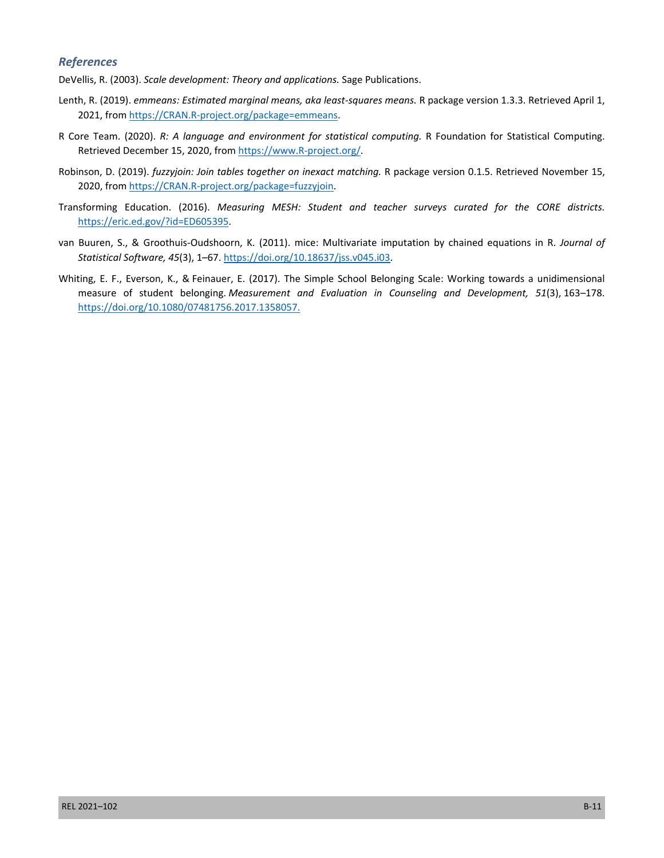#### *References*

DeVellis, R. (2003). *Scale development: Theory and applications.* Sage Publications.

- Lenth, R. (2019). *emmeans: Estimated marginal means, aka least-squares means.* R package version 1.3.3. Retrieved April 1, 2021, from<https://CRAN.R-project.org/package=emmeans>.
- R Core Team. (2020). *R: A language and environment for statistical computing.* R Foundation for Statistical Computing. Retrieved December 15, 2020, from [https://www.R-project.org/.](https://www.R-project.org/)
- Robinson, D. (2019). *fuzzyjoin: Join tables together on inexact matching.* R package version 0.1.5. Retrieved November 15, 2020, from [https://CRAN.R-project.org/package=fuzzyjoin.](https://CRAN.R-project.org/package=fuzzyjoin)
- Transforming Education. (2016). *Measuring MESH: Student and teacher surveys curated for the CORE districts.*  [https://eric.ed.gov/?id=ED605395.](https://eric.ed.gov/?id=ED605395)
- van Buuren, S., & Groothuis-Oudshoorn, K. (2011). mice: Multivariate imputation by chained equations in R. *Journal of Statistical Software, 45*(3), 1–67. [https://doi.org/10.18637/jss.v045.i03.](https://doi.org/10.18637/jss.v045.i03)
- https://doi.org/10.1080/07481756.2017.1358057. Whiting, E. F., Everson, K., & Feinauer, E. (2017). The Simple School Belonging Scale: Working towards a unidimensional measure of student belonging. *Measurement and Evaluation in Counseling and Development, 51*(3), 163–178. [https://doi.org/10.1080/07481756.2017.1358057.](https://doi.org/10.1080/07481756.2017.1358057)<br>REL 2021–102<br>B-11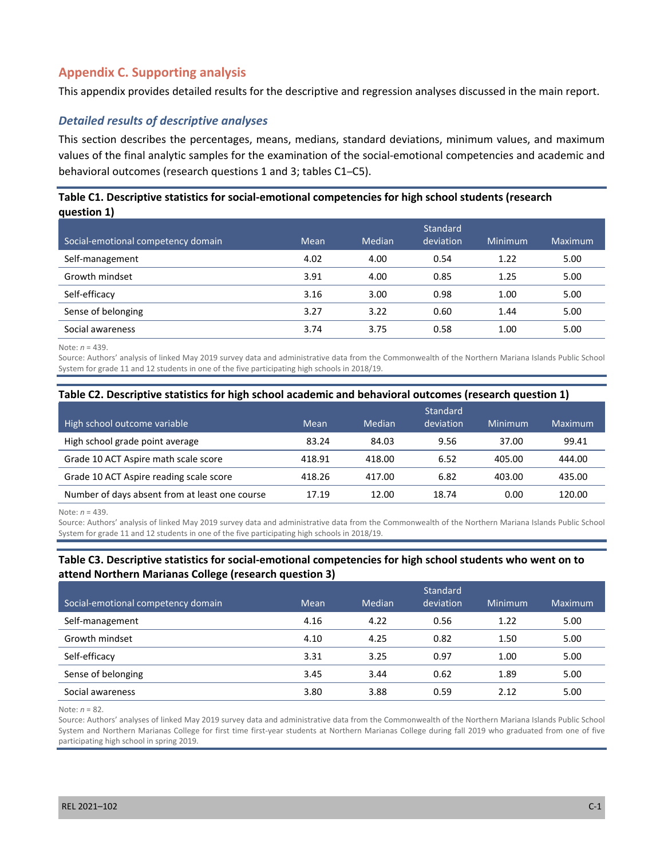# **Appendix C. Supporting analysis**

This appendix provides detailed results for the descriptive and regression analyses discussed in the main report.

### *Detailed results of descriptive analyses*

This section describes the percentages, means, medians, standard deviations, minimum values, and maximum values of the final analytic samples for the examination of the social-emotional competencies and academic and behavioral outcomes (research questions 1 and 3; tables C1–C5).

### **Table C1. Descriptive statistics for social-emotional competencies for high school students (research question 1)**

| Social-emotional competency domain | Mean | Median | Standard<br>deviation | Minimum | Maximum |
|------------------------------------|------|--------|-----------------------|---------|---------|
| Self-management                    | 4.02 | 4.00   | 0.54                  | 1.22    | 5.00    |
| Growth mindset                     | 3.91 | 4.00   | 0.85                  | 1.25    | 5.00    |
| Self-efficacy                      | 3.16 | 3.00   | 0.98                  | 1.00    | 5.00    |
| Sense of belonging                 | 3.27 | 3.22   | 0.60                  | 1.44    | 5.00    |
| Social awareness                   | 3.74 | 3.75   | 0.58                  | 1.00    | 5.00    |

Note: *n* = 439.

Source: Authors' analysis of linked May 2019 survey data and administrative data from the Commonwealth of the Northern Mariana Islands Public School System for grade 11 and 12 students in one of the five participating high schools in 2018/19.

#### **Table C2. Descriptive statistics for high school academic and behavioral outcomes (research question 1)**

| High school outcome variable                   | Mean   | Median | Standard<br>deviation | Minimum | Maximum |
|------------------------------------------------|--------|--------|-----------------------|---------|---------|
| High school grade point average                | 83.24  | 84.03  | 9.56                  | 37.00   | 99.41   |
| Grade 10 ACT Aspire math scale score           | 418.91 | 418.00 | 6.52                  | 405.00  | 444.00  |
| Grade 10 ACT Aspire reading scale score        | 418.26 | 417.00 | 6.82                  | 403.00  | 435.00  |
| Number of days absent from at least one course | 17.19  | 12.00  | 18.74                 | 0.00    | 120.00  |

Note: *n* = 439.

Source: Authors' analysis of linked May 2019 survey data and administrative data from the Commonwealth of the Northern Mariana Islands Public School System for grade 11 and 12 students in one of the five participating high schools in 2018/19.

#### **Table C3. Descriptive statistics for social-emotional competencies for high school students who went on to attend Northern Marianas College (research question 3)**

|                                    |      |        | Standard  |         |         |
|------------------------------------|------|--------|-----------|---------|---------|
| Social-emotional competency domain | Mean | Median | deviation | Minimum | Maximum |
| Self-management                    | 4.16 | 4.22   | 0.56      | 1.22    | 5.00    |
| Growth mindset                     | 4.10 | 4.25   | 0.82      | 1.50    | 5.00    |
| Self-efficacy                      | 3.31 | 3.25   | 0.97      | 1.00    | 5.00    |
| Sense of belonging                 | 3.45 | 3.44   | 0.62      | 1.89    | 5.00    |
| Social awareness                   | 3.80 | 3.88   | 0.59      | 2.12    | 5.00    |

Note: *n* = 82.

Source: Authors' analyses of linked May 2019 survey data and administrative data from the Commonwealth of the Northern Mariana Islands Public School System and Northern Marianas College for first time first-year students at Northern Marianas College during fall 2019 who graduated from one of five participating high school in spring 2019.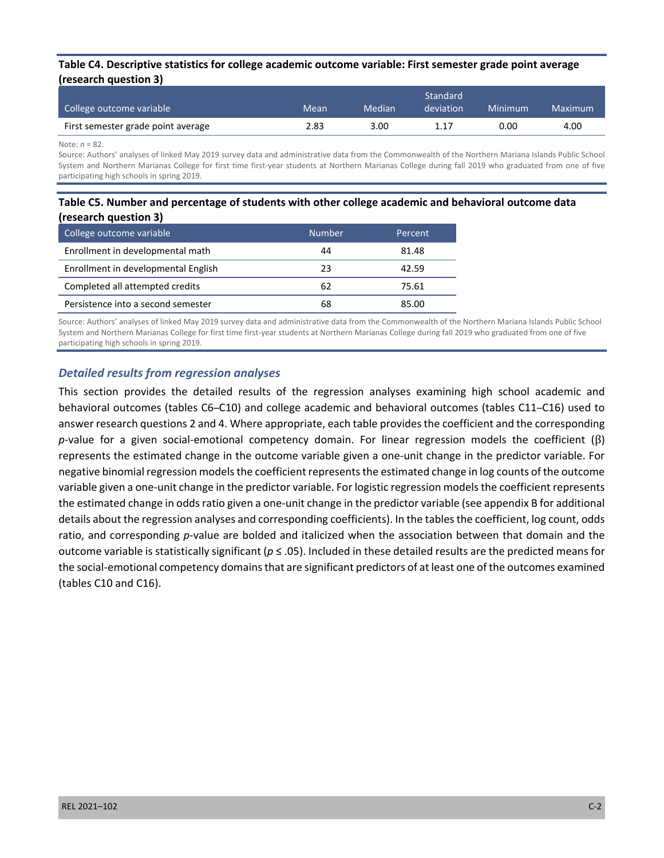#### **Table C4. Descriptive statistics for college academic outcome variable: First semester grade point average (research question 3)**

| College outcome variable           | Mean | Median | Standard <sup>1</sup><br>deviation | Minimum | Maximum |
|------------------------------------|------|--------|------------------------------------|---------|---------|
| First semester grade point average | 2.83 | 3.00   | 1.17                               | 0.00    | 4.00    |

Note: *n* = 82.

Source: Authors' analyses of linked May 2019 survey data and administrative data from the Commonwealth of the Northern Mariana Islands Public School System and Northern Marianas College for first time first-year students at Northern Marianas College during fall 2019 who graduated from one of five participating high schools in spring 2019.

### **Table C5. Number and percentage of students with other college academic and behavioral outcome data (research question 3)**

| College outcome variable            | Number | Percent |
|-------------------------------------|--------|---------|
| Enrollment in developmental math    | 44     | 81.48   |
| Enrollment in developmental English | 23     | 42.59   |
| Completed all attempted credits     | 62     | 75.61   |
| Persistence into a second semester  | 68     | 85.00   |

Source: Authors' analyses of linked May 2019 survey data and administrative data from the Commonwealth of the Northern Mariana Islands Public School System and Northern Marianas College for first time first-year students at Northern Marianas College during fall 2019 who graduated from one of five participating high schools in spring 2019.

## *Detailed results from regression analyses*

 represents the estimated change in the outcome variable given a one-unit change in the predictor variable. For This section provides the detailed results of the regression analyses examining high school academic and behavioral outcomes (tables C6–C10) and college academic and behavioral outcomes (tables C11–C16) used to answer research questions 2 and 4. Where appropriate, each table provides the coefficient and the corresponding *p*-value for a given social-emotional competency domain. For linear regression models the coefficient (β) negative binomial regression models the coefficient represents the estimated change in log counts of the outcome variable given a one-unit change in the predictor variable. For logistic regression models the coefficient represents the estimated change in odds ratio given a one-unit change in the predictor variable (see appendix B for additional details about the regression analyses and corresponding coefficients). In the tables the coefficient, log count, odds ratio, and corresponding *p*-value are bolded and italicized when the association between that domain and the outcome variable is statistically significant (*p* ≤ .05). Included in these detailed results are the predicted means for the social-emotional competency domains that are significant predictors of at least one of the outcomes examined (tables C10 and C16).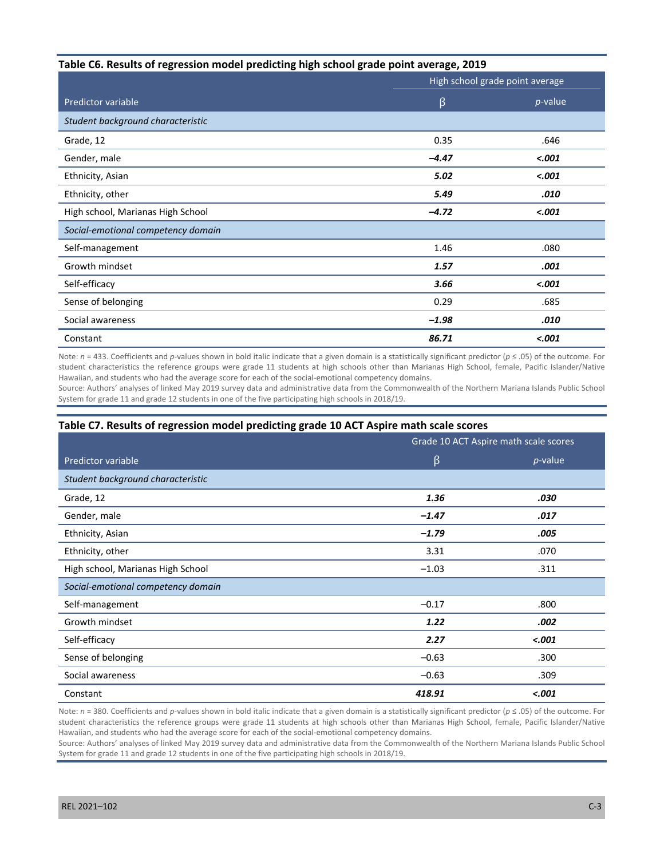#### **Table C6. Results of regression model predicting high school grade point average, 2019**

|                                    | High school grade point average |            |  |
|------------------------------------|---------------------------------|------------|--|
| Predictor variable                 | β                               | $p$ -value |  |
| Student background characteristic  |                                 |            |  |
| Grade, 12                          | 0.35                            | .646       |  |
| Gender, male                       | $-4.47$                         | $-.001$    |  |
| Ethnicity, Asian                   | 5.02                            | $-.001$    |  |
| Ethnicity, other                   | 5.49                            | .010       |  |
| High school, Marianas High School  | $-4.72$                         | $-.001$    |  |
| Social-emotional competency domain |                                 |            |  |
| Self-management                    | 1.46                            | .080       |  |
| Growth mindset                     | 1.57                            | .001       |  |
| Self-efficacy                      | 3.66                            | $-.001$    |  |
| Sense of belonging                 | 0.29                            | .685       |  |
| Social awareness                   | $-1.98$                         | .010       |  |
| Constant                           | 86.71                           | $-.001$    |  |

 Note: *n* = 433. Coefficients and *p*-values shown in bold italic indicate that a given domain is a statistically significant predictor (*p* ≤ .05) of the outcome. For student characteristics the reference groups were grade 11 students at high schools other than Marianas High School, female, Pacific Islander/Native Hawaiian, and students who had the average score for each of the social-emotional competency domains.

Source: Authors' analyses of linked May 2019 survey data and administrative data from the Commonwealth of the Northern Mariana Islands Public School System for grade 11 and grade 12 students in one of the five participating high schools in 2018/19.

#### **Table C7. Results of regression model predicting grade 10 ACT Aspire math scale scores**

|                                    | Grade 10 ACT Aspire math scale scores |            |  |
|------------------------------------|---------------------------------------|------------|--|
| Predictor variable                 | β                                     | $p$ -value |  |
| Student background characteristic  |                                       |            |  |
| Grade, 12                          | 1.36                                  | .030       |  |
| Gender, male                       | $-1.47$                               | .017       |  |
| Ethnicity, Asian                   | $-1.79$                               | .005       |  |
| Ethnicity, other                   | 3.31                                  | .070       |  |
| High school, Marianas High School  | $-1.03$                               | .311       |  |
| Social-emotional competency domain |                                       |            |  |
| Self-management                    | $-0.17$                               | .800       |  |
| Growth mindset                     | 1.22                                  | .002       |  |
| Self-efficacy                      | 2.27                                  | $-.001$    |  |
| Sense of belonging                 | $-0.63$                               | .300       |  |
| Social awareness                   | $-0.63$                               | .309       |  |
| Constant                           | 418.91                                | $-.001$    |  |

 Note: *n* = 380. Coefficients and *p*-values shown in bold italic indicate that a given domain is a statistically significant predictor (*p* ≤ .05) of the outcome. For student characteristics the reference groups were grade 11 students at high schools other than Marianas High School, female, Pacific Islander/Native Hawaiian, and students who had the average score for each of the social-emotional competency domains.

Source: Authors' analyses of linked May 2019 survey data and administrative data from the Commonwealth of the Northern Mariana Islands Public School System for grade 11 and grade 12 students in one of the five participating high schools in 2018/19.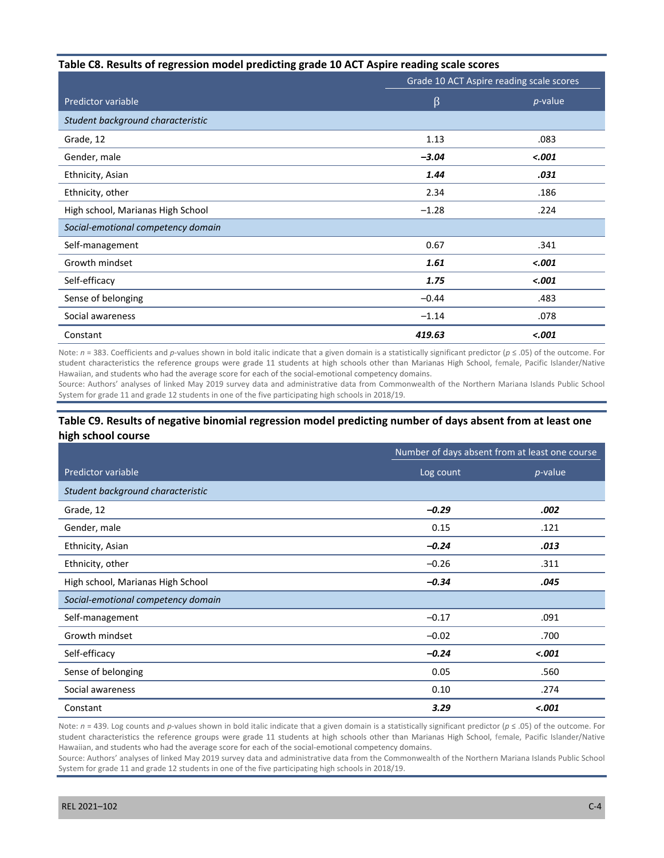#### **Table C8. Results of regression model predicting grade 10 ACT Aspire reading scale scores**

|                                    | Grade 10 ACT Aspire reading scale scores |            |  |
|------------------------------------|------------------------------------------|------------|--|
| <b>Predictor variable</b>          | β                                        | $p$ -value |  |
| Student background characteristic  |                                          |            |  |
| Grade, 12                          | 1.13                                     | .083       |  |
| Gender, male                       | $-3.04$                                  | < .001     |  |
| Ethnicity, Asian                   | 1.44                                     | .031       |  |
| Ethnicity, other                   | 2.34                                     | .186       |  |
| High school, Marianas High School  | $-1.28$                                  | .224       |  |
| Social-emotional competency domain |                                          |            |  |
| Self-management                    | 0.67                                     | .341       |  |
| Growth mindset                     | 1.61                                     | < .001     |  |
| Self-efficacy                      | 1.75                                     | $-.001$    |  |
| Sense of belonging                 | $-0.44$                                  | .483       |  |
| Social awareness                   | $-1.14$                                  | .078       |  |
| Constant                           | 419.63                                   | < .001     |  |

 Note: *n* = 383. Coefficients and *p*-values shown in bold italic indicate that a given domain is a statistically significant predictor (*p* ≤ .05) of the outcome. For student characteristics the reference groups were grade 11 students at high schools other than Marianas High School, female, Pacific Islander/Native Hawaiian, and students who had the average score for each of the social-emotional competency domains.

Source: Authors' analyses of linked May 2019 survey data and administrative data from Commonwealth of the Northern Mariana Islands Public School System for grade 11 and grade 12 students in one of the five participating high schools in 2018/19.

### **Table C9. Results of negative binomial regression model predicting number of days absent from at least one high school course**

|                                    | Number of days absent from at least one course |            |  |
|------------------------------------|------------------------------------------------|------------|--|
| Predictor variable                 | Log count                                      | $p$ -value |  |
| Student background characteristic  |                                                |            |  |
| Grade, 12                          | $-0.29$                                        | .002       |  |
| Gender, male                       | 0.15                                           | .121       |  |
| Ethnicity, Asian                   | $-0.24$                                        | .013       |  |
| Ethnicity, other                   | $-0.26$                                        | .311       |  |
| High school, Marianas High School  | $-0.34$                                        | .045       |  |
| Social-emotional competency domain |                                                |            |  |
| Self-management                    | $-0.17$                                        | .091       |  |
| Growth mindset                     | $-0.02$                                        | .700       |  |
| Self-efficacy                      | $-0.24$                                        | $-.001$    |  |
| Sense of belonging                 | 0.05                                           | .560       |  |
| Social awareness                   | 0.10                                           | .274       |  |
| Constant                           | 3.29                                           | $-.001$    |  |

Note: *n* = 439. Log counts and *p*-values shown in bold italic indicate that a given domain is a statistically significant predictor (*p* ≤ .05) of the outcome. For student characteristics the reference groups were grade 11 students at high schools other than Marianas High School, female, Pacific Islander/Native Hawaiian, and students who had the average score for each of the social-emotional competency domains.

Source: Authors' analyses of linked May 2019 survey data and administrative data from the Commonwealth of the Northern Mariana Islands Public School System for grade 11 and grade 12 students in one of the five participating high schools in 2018/19.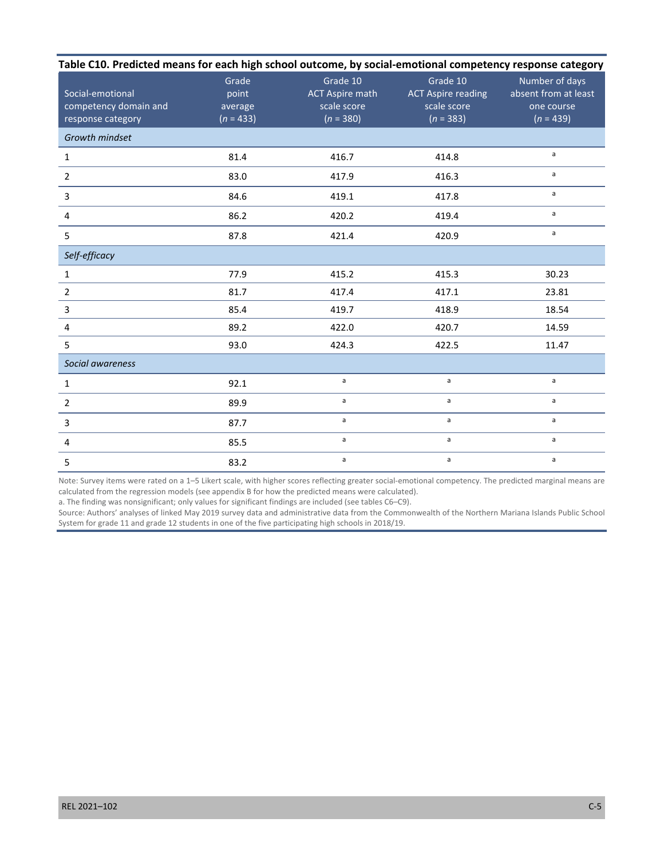| Table C10. Predicted means for each high school outcome, by social-emotional competency response category |                                          |                                                                  |                                                                     |                                                                     |  |  |  |
|-----------------------------------------------------------------------------------------------------------|------------------------------------------|------------------------------------------------------------------|---------------------------------------------------------------------|---------------------------------------------------------------------|--|--|--|
| Social-emotional<br>competency domain and<br>response category                                            | Grade<br>point<br>average<br>$(n = 433)$ | Grade 10<br><b>ACT Aspire math</b><br>scale score<br>$(n = 380)$ | Grade 10<br><b>ACT Aspire reading</b><br>scale score<br>$(n = 383)$ | Number of days<br>absent from at least<br>one course<br>$(n = 439)$ |  |  |  |
| Growth mindset                                                                                            |                                          |                                                                  |                                                                     |                                                                     |  |  |  |
| 1                                                                                                         | 81.4                                     | 416.7                                                            | 414.8                                                               | a                                                                   |  |  |  |
| $\overline{2}$                                                                                            | 83.0                                     | 417.9                                                            | 416.3                                                               | a                                                                   |  |  |  |
| 3                                                                                                         | 84.6                                     | 419.1                                                            | 417.8                                                               | a                                                                   |  |  |  |
| 4                                                                                                         | 86.2                                     | 420.2                                                            | 419.4                                                               | $\mathsf{a}$                                                        |  |  |  |
| 5                                                                                                         | 87.8                                     | 421.4                                                            | 420.9                                                               | $\mathsf{a}$                                                        |  |  |  |
| Self-efficacy                                                                                             |                                          |                                                                  |                                                                     |                                                                     |  |  |  |
| $\mathbf{1}$                                                                                              | 77.9                                     | 415.2                                                            | 415.3                                                               | 30.23                                                               |  |  |  |
| $\overline{2}$                                                                                            | 81.7                                     | 417.4                                                            | 417.1                                                               | 23.81                                                               |  |  |  |
| 3                                                                                                         | 85.4                                     | 419.7                                                            | 418.9                                                               | 18.54                                                               |  |  |  |
| 4                                                                                                         | 89.2                                     | 422.0                                                            | 420.7                                                               | 14.59                                                               |  |  |  |
| 5                                                                                                         | 93.0                                     | 424.3                                                            | 422.5                                                               | 11.47                                                               |  |  |  |
| Social awareness                                                                                          |                                          |                                                                  |                                                                     |                                                                     |  |  |  |
| $\mathbf{1}$                                                                                              | 92.1                                     | $\mathsf{a}$                                                     | a                                                                   | a                                                                   |  |  |  |
| $\overline{2}$                                                                                            | 89.9                                     | a                                                                | a                                                                   | a                                                                   |  |  |  |
| 3                                                                                                         | 87.7                                     | $\mathsf{a}$                                                     | a                                                                   | a                                                                   |  |  |  |
| 4                                                                                                         | 85.5                                     | a                                                                | a                                                                   | a                                                                   |  |  |  |
| 5                                                                                                         | 83.2                                     | a                                                                | a                                                                   | a                                                                   |  |  |  |

Note: Survey items were rated on a 1–5 Likert scale, with higher scores reflecting greater social-emotional competency. The predicted marginal means are calculated from the regression models (see appendix B for how the predicted means were calculated).

a. The finding was nonsignificant; only values for significant findings are included (see tables C6–C9).

Source: Authors' analyses of linked May 2019 survey data and administrative data from the Commonwealth of the Northern Mariana Islands Public School System for grade 11 and grade 12 students in one of the five participating high schools in 2018/19.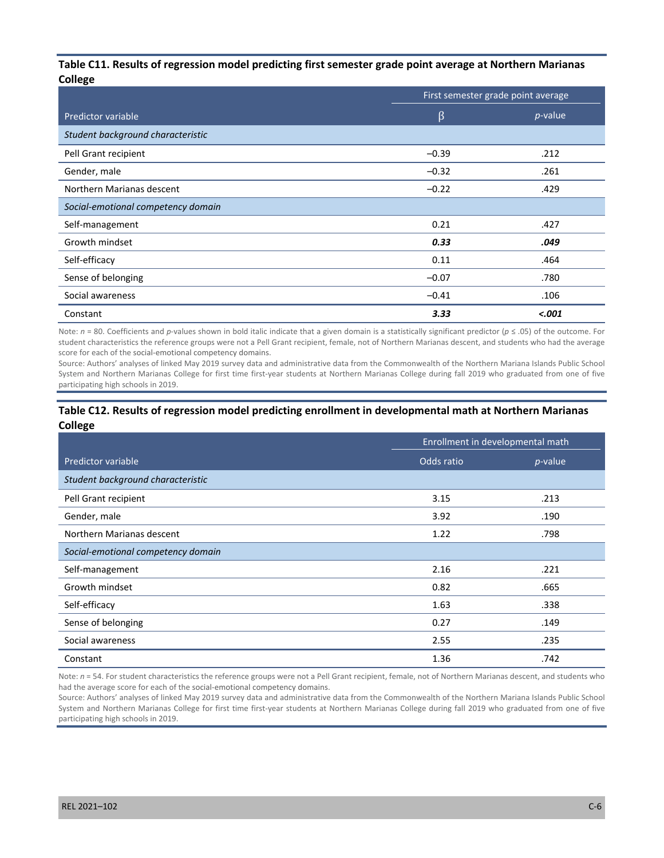#### **Table C11. Results of regression model predicting first semester grade point average at Northern Marianas College**

|                                    | First semester grade point average |            |  |
|------------------------------------|------------------------------------|------------|--|
| Predictor variable                 | β                                  | $p$ -value |  |
| Student background characteristic  |                                    |            |  |
| Pell Grant recipient               | $-0.39$                            | .212       |  |
| Gender, male                       | $-0.32$                            | .261       |  |
| Northern Marianas descent          | $-0.22$                            | .429       |  |
| Social-emotional competency domain |                                    |            |  |
| Self-management                    | 0.21                               | .427       |  |
| Growth mindset                     | 0.33                               | .049       |  |
| Self-efficacy                      | 0.11                               | .464       |  |
| Sense of belonging                 | $-0.07$                            | .780       |  |
| Social awareness                   | $-0.41$                            | .106       |  |
| Constant                           | 3.33                               | < .001     |  |

Note: *n* = 80. Coefficients and *p*-values shown in bold italic indicate that a given domain is a statistically significant predictor (*p* ≤ .05) of the outcome. For student characteristics the reference groups were not a Pell Grant recipient, female, not of Northern Marianas descent, and students who had the average score for each of the social-emotional competency domains.

Source: Authors' analyses of linked May 2019 survey data and administrative data from the Commonwealth of the Northern Mariana Islands Public School System and Northern Marianas College for first time first-year students at Northern Marianas College during fall 2019 who graduated from one of five participating high schools in 2019.

#### **Table C12. Results of regression model predicting enrollment in developmental math at Northern Marianas College**

|                                    | Enrollment in developmental math |            |  |
|------------------------------------|----------------------------------|------------|--|
| Predictor variable                 | Odds ratio                       | $p$ -value |  |
| Student background characteristic  |                                  |            |  |
| Pell Grant recipient               | 3.15                             | .213       |  |
| Gender, male                       | 3.92                             | .190       |  |
| Northern Marianas descent          | 1.22                             | .798       |  |
| Social-emotional competency domain |                                  |            |  |
| Self-management                    | 2.16                             | .221       |  |
| Growth mindset                     | 0.82                             | .665       |  |
| Self-efficacy                      | 1.63                             | .338       |  |
| Sense of belonging                 | 0.27                             | .149       |  |
| Social awareness                   | 2.55                             | .235       |  |
| Constant                           | 1.36                             | .742       |  |

Note:  $n = 54$ . For student characteristics the reference groups were not a Pell Grant recipient, female, not of Northern Marianas descent, and students who had the average score for each of the social-emotional competency domains.

Source: Authors' analyses of linked May 2019 survey data and administrative data from the Commonwealth of the Northern Mariana Islands Public School System and Northern Marianas College for first time first-year students at Northern Marianas College during fall 2019 who graduated from one of five participating high schools in 2019.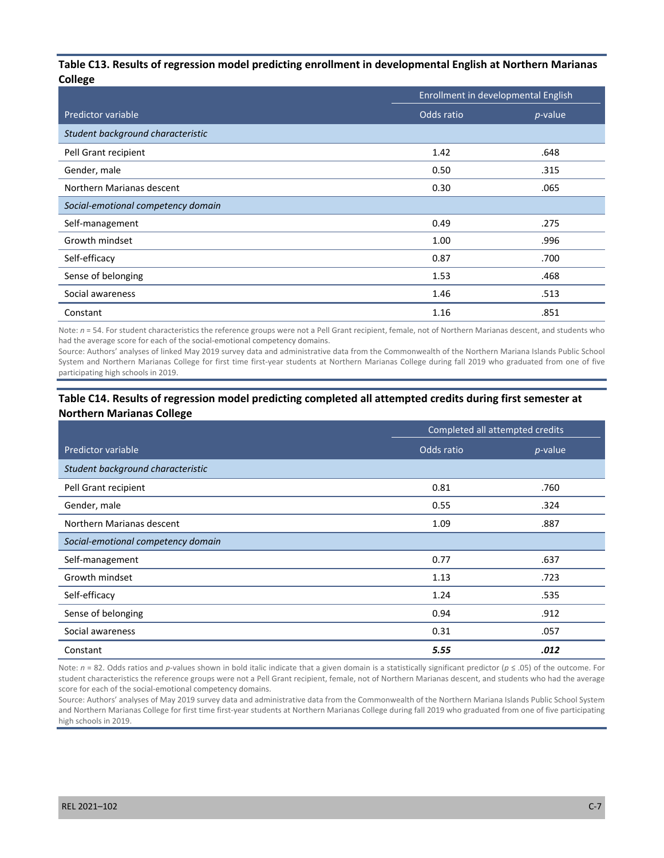#### **Table C13. Results of regression model predicting enrollment in developmental English at Northern Marianas College**

|                                    | Enrollment in developmental English |            |  |
|------------------------------------|-------------------------------------|------------|--|
| Predictor variable                 | Odds ratio                          | $p$ -value |  |
| Student background characteristic  |                                     |            |  |
| Pell Grant recipient               | 1.42                                | .648       |  |
| Gender, male                       | 0.50                                | .315       |  |
| Northern Marianas descent          | 0.30                                | .065       |  |
| Social-emotional competency domain |                                     |            |  |
| Self-management                    | 0.49                                | .275       |  |
| Growth mindset                     | 1.00                                | .996       |  |
| Self-efficacy                      | 0.87                                | .700       |  |
| Sense of belonging                 | 1.53                                | .468       |  |
| Social awareness                   | 1.46                                | .513       |  |
| Constant                           | 1.16                                | .851       |  |

Note:  $n = 54$ . For student characteristics the reference groups were not a Pell Grant recipient, female, not of Northern Marianas descent, and students who had the average score for each of the social-emotional competency domains.

Source: Authors' analyses of linked May 2019 survey data and administrative data from the Commonwealth of the Northern Mariana Islands Public School System and Northern Marianas College for first time first-year students at Northern Marianas College during fall 2019 who graduated from one of five participating high schools in 2019.

### **Table C14. Results of regression model predicting completed all attempted credits during first semester at Northern Marianas College**

|                                    | Completed all attempted credits |            |  |
|------------------------------------|---------------------------------|------------|--|
| Predictor variable                 | Odds ratio                      | $p$ -value |  |
| Student background characteristic  |                                 |            |  |
| Pell Grant recipient               | 0.81                            | .760       |  |
| Gender, male                       | 0.55                            | .324       |  |
| Northern Marianas descent          | 1.09                            | .887       |  |
| Social-emotional competency domain |                                 |            |  |
| Self-management                    | 0.77                            | .637       |  |
| Growth mindset                     | 1.13                            | .723       |  |
| Self-efficacy                      | 1.24                            | .535       |  |
| Sense of belonging                 | 0.94                            | .912       |  |
| Social awareness                   | 0.31                            | .057       |  |
| Constant                           | 5.55                            | .012       |  |

Note: *n* = 82. Odds ratios and *p*-values shown in bold italic indicate that a given domain is a statistically significant predictor (*p* ≤ .05) of the outcome. For student characteristics the reference groups were not a Pell Grant recipient, female, not of Northern Marianas descent, and students who had the average score for each of the social-emotional competency domains.

Source: Authors' analyses of May 2019 survey data and administrative data from the Commonwealth of the Northern Mariana Islands Public School System and Northern Marianas College for first time first-year students at Northern Marianas College during fall 2019 who graduated from one of five participating high schools in 2019.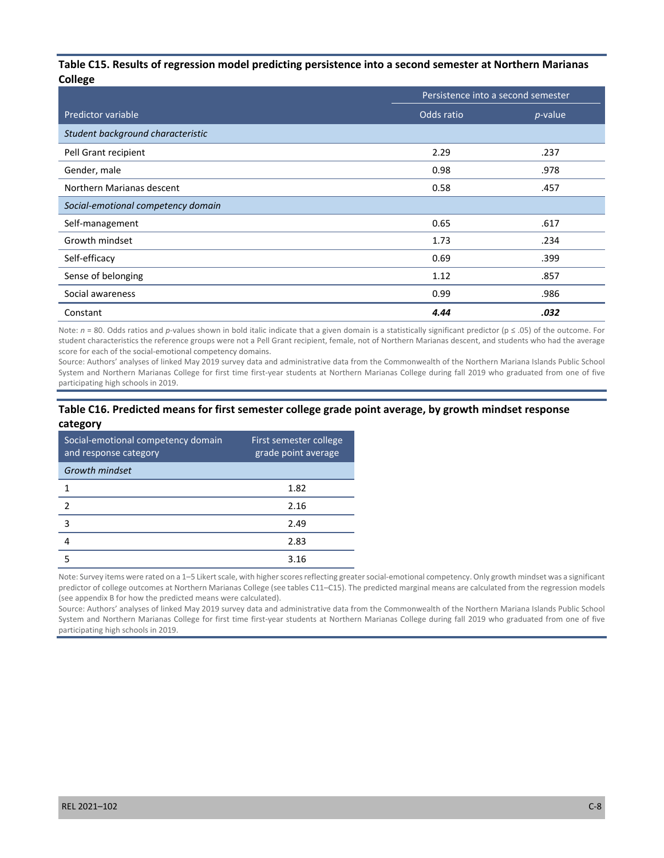#### **Table C15. Results of regression model predicting persistence into a second semester at Northern Marianas College**

|                                    | Persistence into a second semester |            |  |
|------------------------------------|------------------------------------|------------|--|
| Predictor variable                 | Odds ratio                         | $p$ -value |  |
| Student background characteristic  |                                    |            |  |
| Pell Grant recipient               | 2.29                               | .237       |  |
| Gender, male                       | 0.98                               | .978       |  |
| Northern Marianas descent          | 0.58                               | .457       |  |
| Social-emotional competency domain |                                    |            |  |
| Self-management                    | 0.65                               | .617       |  |
| Growth mindset                     | 1.73                               | .234       |  |
| Self-efficacy                      | 0.69                               | .399       |  |
| Sense of belonging                 | 1.12                               | .857       |  |
| Social awareness                   | 0.99                               | .986       |  |
| Constant                           | 4.44                               | .032       |  |

Note: *n* = 80. Odds ratios and *p*-values shown in bold italic indicate that a given domain is a statistically significant predictor (p ≤ .05) of the outcome. For student characteristics the reference groups were not a Pell Grant recipient, female, not of Northern Marianas descent, and students who had the average score for each of the social-emotional competency domains.

Source: Authors' analyses of linked May 2019 survey data and administrative data from the Commonwealth of the Northern Mariana Islands Public School System and Northern Marianas College for first time first-year students at Northern Marianas College during fall 2019 who graduated from one of five participating high schools in 2019.

#### **Table C16. Predicted means for first semester college grade point average, by growth mindset response category**

| Social-emotional competency domain<br>and response category | First semester college<br>grade point average |
|-------------------------------------------------------------|-----------------------------------------------|
| <b>Growth mindset</b>                                       |                                               |
|                                                             | 1.82                                          |
| 2                                                           | 2.16                                          |
| 3                                                           | 2.49                                          |
|                                                             | 2.83                                          |
|                                                             | 3 16                                          |

Note: Survey items were rated on a 1–5 Likert scale, with higher scores reflecting greater social-emotional competency. Only growth mindset was a significant predictor of college outcomes at Northern Marianas College (see tables C11–C15). The predicted marginal means are calculated from the regression models (see appendix B for how the predicted means were calculated).

Source: Authors' analyses of linked May 2019 survey data and administrative data from the Commonwealth of the Northern Mariana Islands Public School System and Northern Marianas College for first time first-year students at Northern Marianas College during fall 2019 who graduated from one of five participating high schools in 2019.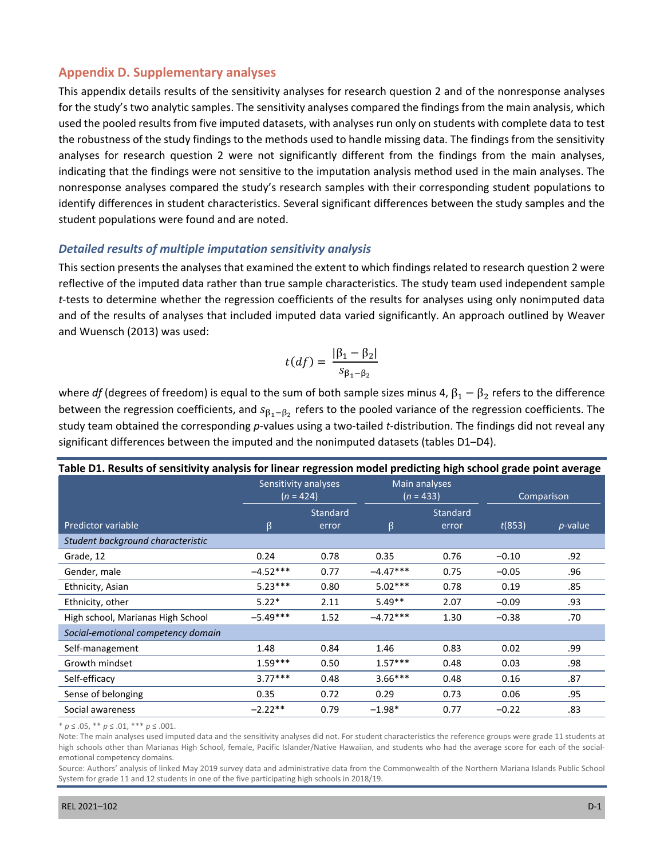## **Appendix D. Supplementary analyses**

 student populations were found and are noted. This appendix details results of the sensitivity analyses for research question 2 and of the nonresponse analyses for the study's two analytic samples. The sensitivity analyses compared the findings from the main analysis, which used the pooled results from five imputed datasets, with analyses run only on students with complete data to test the robustness of the study findings to the methods used to handle missing data. The findings from the sensitivity analyses for research question 2 were not significantly different from the findings from the main analyses, indicating that the findings were not sensitive to the imputation analysis method used in the main analyses. The nonresponse analyses compared the study's research samples with their corresponding student populations to identify differences in student characteristics. Several significant differences between the study samples and the

### *Detailed results of multiple imputation sensitivity analysis*

 This section presents the analyses that examined the extent to which findings related to research question 2 were reflective of the imputed data rather than true sample characteristics. The study team used independent sample *t*-tests to determine whether the regression coefficients of the results for analyses using only nonimputed data and of the results of analyses that included imputed data varied significantly. An approach outlined by Weaver and Wuensch (2013) was used:

$$
t(df) = \frac{|\beta_1 - \beta_2|}{s_{\beta_1 - \beta_2}}
$$

where *df* (degrees of freedom) is equal to the sum of both sample sizes minus 4,  $\beta_1 - \beta_2$  refers to the difference between the regression coefficients, and  $s_{\beta_1-\beta_2}$  refers to the pooled variance of the regression coefficients. The study team obtained the corresponding *p*-values using a two-tailed *t*-distribution. The findings did not reveal any significant differences between the imputed and the nonimputed datasets (tables D1–D4).

| Table D1. Results of sensitivity analysis for linear regression model predicting high school grade point average |            |                                                                     |            |            |         |            |  |
|------------------------------------------------------------------------------------------------------------------|------------|---------------------------------------------------------------------|------------|------------|---------|------------|--|
|                                                                                                                  |            | Sensitivity analyses<br>Main analyses<br>$(n = 433)$<br>$(n = 424)$ |            | Comparison |         |            |  |
|                                                                                                                  |            | Standard                                                            |            | Standard   |         |            |  |
| Predictor variable                                                                                               | β          | error                                                               | $\beta$    | error      | t(853)  | $p$ -value |  |
| Student background characteristic                                                                                |            |                                                                     |            |            |         |            |  |
| Grade, 12                                                                                                        | 0.24       | 0.78                                                                | 0.35       | 0.76       | $-0.10$ | .92        |  |
| Gender, male                                                                                                     | $-4.52***$ | 0.77                                                                | $-4.47***$ | 0.75       | $-0.05$ | .96        |  |
| Ethnicity, Asian                                                                                                 | $5.23***$  | 0.80                                                                | $5.02***$  | 0.78       | 0.19    | .85        |  |
| Ethnicity, other                                                                                                 | $5.22*$    | 2.11                                                                | $5.49**$   | 2.07       | $-0.09$ | .93        |  |
| High school, Marianas High School                                                                                | $-5.49***$ | 1.52                                                                | $-4.72***$ | 1.30       | $-0.38$ | .70        |  |
| Social-emotional competency domain                                                                               |            |                                                                     |            |            |         |            |  |
| Self-management                                                                                                  | 1.48       | 0.84                                                                | 1.46       | 0.83       | 0.02    | .99        |  |
| Growth mindset                                                                                                   | $1.59***$  | 0.50                                                                | $1.57***$  | 0.48       | 0.03    | .98        |  |
| Self-efficacy                                                                                                    | $3.77***$  | 0.48                                                                | $3.66***$  | 0.48       | 0.16    | .87        |  |
| Sense of belonging                                                                                               | 0.35       | 0.72                                                                | 0.29       | 0.73       | 0.06    | .95        |  |
| Social awareness                                                                                                 | $-2.22**$  | 0.79                                                                | $-1.98*$   | 0.77       | $-0.22$ | .83        |  |

\* *p* ≤ .05, \*\* *p* ≤ .01, \*\*\* *p* ≤ .001.

Note: The main analyses used imputed data and the sensitivity analyses did not. For student characteristics the reference groups were grade 11 students at high schools other than Marianas High School, female, Pacific Islander/Native Hawaiian, and students who had the average score for each of the socialemotional competency domains.

Source: Authors' analysis of linked May 2019 survey data and administrative data from the Commonwealth of the Northern Mariana Islands Public School System for grade 11 and 12 students in one of the five participating high schools in 2018/19.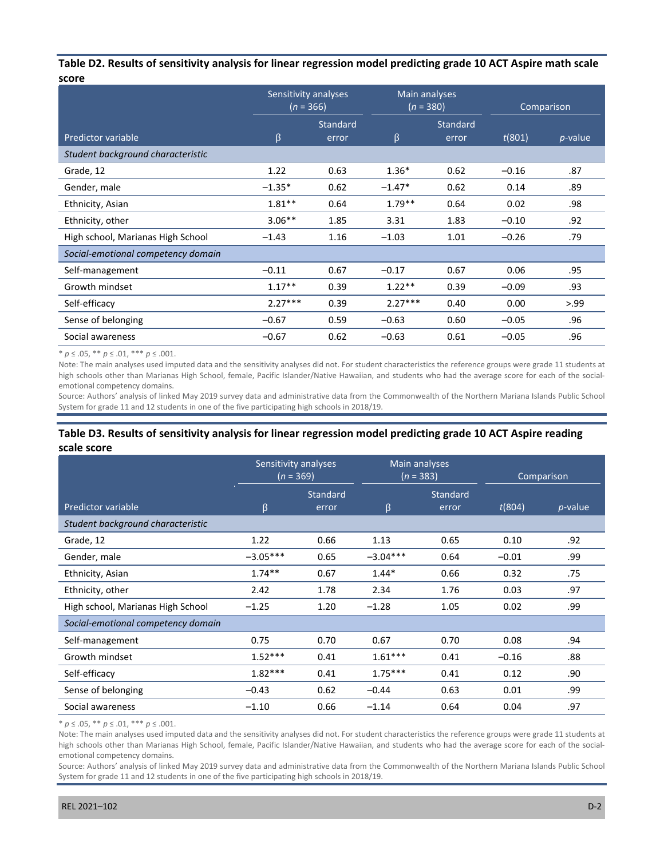#### **Table D2. Results of sensitivity analysis for linear regression model predicting grade 10 ACT Aspire math scale score**

|                                    | Sensitivity analyses<br>$(n = 366)$ |                 | Main analyses<br>$(n = 380)$ |                 | Comparison |            |
|------------------------------------|-------------------------------------|-----------------|------------------------------|-----------------|------------|------------|
|                                    |                                     | <b>Standard</b> |                              | <b>Standard</b> |            |            |
| Predictor variable                 | β                                   | error           | $\beta$                      | error           | t(801)     | $p$ -value |
| Student background characteristic  |                                     |                 |                              |                 |            |            |
| Grade, 12                          | 1.22                                | 0.63            | $1.36*$                      | 0.62            | $-0.16$    | .87        |
| Gender, male                       | $-1.35*$                            | 0.62            | $-1.47*$                     | 0.62            | 0.14       | .89        |
| Ethnicity, Asian                   | $1.81**$                            | 0.64            | $1.79**$                     | 0.64            | 0.02       | .98        |
| Ethnicity, other                   | $3.06**$                            | 1.85            | 3.31                         | 1.83            | $-0.10$    | .92        |
| High school, Marianas High School  | $-1.43$                             | 1.16            | $-1.03$                      | 1.01            | $-0.26$    | .79        |
| Social-emotional competency domain |                                     |                 |                              |                 |            |            |
| Self-management                    | $-0.11$                             | 0.67            | $-0.17$                      | 0.67            | 0.06       | .95        |
| Growth mindset                     | $1.17**$                            | 0.39            | $1.22**$                     | 0.39            | $-0.09$    | .93        |
| Self-efficacy                      | $2.27***$                           | 0.39            | $2.27***$                    | 0.40            | 0.00       | > 0.99     |
| Sense of belonging                 | $-0.67$                             | 0.59            | $-0.63$                      | 0.60            | $-0.05$    | .96        |
| Social awareness                   | $-0.67$                             | 0.62            | $-0.63$                      | 0.61            | $-0.05$    | .96        |

\* *p* ≤ .05, \*\* *p* ≤ .01, \*\*\* *p* ≤ .001.

Note: The main analyses used imputed data and the sensitivity analyses did not. For student characteristics the reference groups were grade 11 students at high schools other than Marianas High School, female, Pacific Islander/Native Hawaiian, and students who had the average score for each of the socialemotional competency domains.

Source: Authors' analysis of linked May 2019 survey data and administrative data from the Commonwealth of the Northern Mariana Islands Public School System for grade 11 and 12 students in one of the five participating high schools in 2018/19.

#### **Table D3. Results of sensitivity analysis for linear regression model predicting grade 10 ACT Aspire reading scale score**

|                                    | Sensitivity analyses<br>$(n = 369)$ |          | Main analyses<br>$(n = 383)$ |          | Comparison |            |
|------------------------------------|-------------------------------------|----------|------------------------------|----------|------------|------------|
|                                    |                                     | Standard |                              | Standard |            |            |
| Predictor variable                 | β                                   | error    | β                            | error    | t(804)     | $p$ -value |
| Student background characteristic  |                                     |          |                              |          |            |            |
| Grade, 12                          | 1.22                                | 0.66     | 1.13                         | 0.65     | 0.10       | .92        |
| Gender, male                       | $-3.05***$                          | 0.65     | $-3.04***$                   | 0.64     | $-0.01$    | .99        |
| Ethnicity, Asian                   | $1.74***$                           | 0.67     | $1.44*$                      | 0.66     | 0.32       | .75        |
| Ethnicity, other                   | 2.42                                | 1.78     | 2.34                         | 1.76     | 0.03       | .97        |
| High school, Marianas High School  | $-1.25$                             | 1.20     | $-1.28$                      | 1.05     | 0.02       | .99        |
| Social-emotional competency domain |                                     |          |                              |          |            |            |
| Self-management                    | 0.75                                | 0.70     | 0.67                         | 0.70     | 0.08       | .94        |
| Growth mindset                     | $1.52***$                           | 0.41     | $1.61***$                    | 0.41     | $-0.16$    | .88        |
| Self-efficacy                      | $1.82***$                           | 0.41     | $1.75***$                    | 0.41     | 0.12       | .90        |
| Sense of belonging                 | $-0.43$                             | 0.62     | $-0.44$                      | 0.63     | 0.01       | .99        |
| Social awareness                   | $-1.10$                             | 0.66     | $-1.14$                      | 0.64     | 0.04       | .97        |

\* *p* ≤ .05, \*\* *p* ≤ .01, \*\*\* *p* ≤ .001.

Note: The main analyses used imputed data and the sensitivity analyses did not. For student characteristics the reference groups were grade 11 students at high schools other than Marianas High School, female, Pacific Islander/Native Hawaiian, and students who had the average score for each of the socialemotional competency domains.

Source: Authors' analysis of linked May 2019 survey data and administrative data from the Commonwealth of the Northern Mariana Islands Public School System for grade 11 and 12 students in one of the five participating high schools in 2018/19.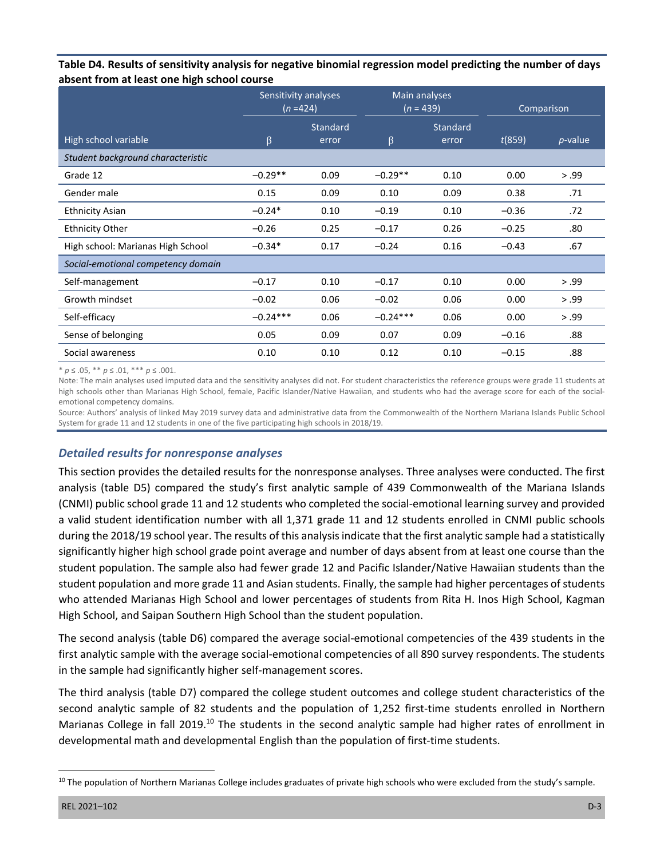| Table D4. Results of sensitivity analysis for negative binomial regression model predicting the number of days |
|----------------------------------------------------------------------------------------------------------------|
| absent from at least one high school course                                                                    |

|                                    | Sensitivity analyses<br>$(n=424)$ |                   | Main analyses<br>$(n = 439)$ |                   | Comparison |            |
|------------------------------------|-----------------------------------|-------------------|------------------------------|-------------------|------------|------------|
| High school variable               | β                                 | Standard<br>error | $\beta$                      | Standard<br>error | t(859)     | $p$ -value |
| Student background characteristic  |                                   |                   |                              |                   |            |            |
| Grade 12                           | $-0.29**$                         | 0.09              | $-0.29**$                    | 0.10              | 0.00       | > .99      |
| Gender male                        | 0.15                              | 0.09              | 0.10                         | 0.09              | 0.38       | .71        |
| <b>Ethnicity Asian</b>             | $-0.24*$                          | 0.10              | $-0.19$                      | 0.10              | $-0.36$    | .72        |
| <b>Ethnicity Other</b>             | $-0.26$                           | 0.25              | $-0.17$                      | 0.26              | $-0.25$    | .80        |
| High school: Marianas High School  | $-0.34*$                          | 0.17              | $-0.24$                      | 0.16              | $-0.43$    | .67        |
| Social-emotional competency domain |                                   |                   |                              |                   |            |            |
| Self-management                    | $-0.17$                           | 0.10              | $-0.17$                      | 0.10              | 0.00       | > .99      |
| Growth mindset                     | $-0.02$                           | 0.06              | $-0.02$                      | 0.06              | 0.00       | > .99      |
| Self-efficacy                      | $-0.24***$                        | 0.06              | $-0.24***$                   | 0.06              | 0.00       | > .99      |
| Sense of belonging                 | 0.05                              | 0.09              | 0.07                         | 0.09              | $-0.16$    | .88        |
| Social awareness                   | 0.10                              | 0.10              | 0.12                         | 0.10              | $-0.15$    | .88        |

\* *p* ≤ .05, \*\* *p* ≤ .01, \*\*\* *p* ≤ .001.

Note: The main analyses used imputed data and the sensitivity analyses did not. For student characteristics the reference groups were grade 11 students at high schools other than Marianas High School, female, Pacific Islander/Native Hawaiian, and students who had the average score for each of the socialemotional competency domains.

Source: Authors' analysis of linked May 2019 survey data and administrative data from the Commonwealth of the Northern Mariana Islands Public School System for grade 11 and 12 students in one of the five participating high schools in 2018/19.

## *Detailed results for nonresponse analyses*

This section provides the detailed results for the nonresponse analyses. Three analyses were conducted. The first analysis (table D5) compared the study's first analytic sample of 439 Commonwealth of the Mariana Islands (CNMI) public school grade 11 and 12 students who completed the social-emotional learning survey and provided a valid student identification number with all 1,371 grade 11 and 12 students enrolled in CNMI public schools during the 2018/19 school year. The results of this analysis indicate that the first analytic sample had a statistically significantly higher high school grade point average and number of days absent from at least one course than the student population. The sample also had fewer grade 12 and Pacific Islander/Native Hawaiian students than the student population and more grade 11 and Asian students. Finally, the sample had higher percentages of students who attended Marianas High School and lower percentages of students from Rita H. Inos High School, Kagman High School, and Saipan Southern High School than the student population.

The second analysis (table D6) compared the average social-emotional competencies of the 439 students in the first analytic sample with the average social-emotional competencies of all 890 survey respondents. The students in the sample had significantly higher self-management scores.

The third analysis (table D7) compared the college student outcomes and college student characteristics of the second analytic sample of 82 students and the population of 1,252 first-time students enrolled in Northern Marianas College in fall 2019.<sup>10</sup> The students in the second analytic sample had higher rates of enrollment in developmental math and developmental English than the population of first-time students.

<sup>&</sup>lt;sup>10</sup> The population of Northern Marianas College includes graduates of private high schools who were excluded from the study's sample.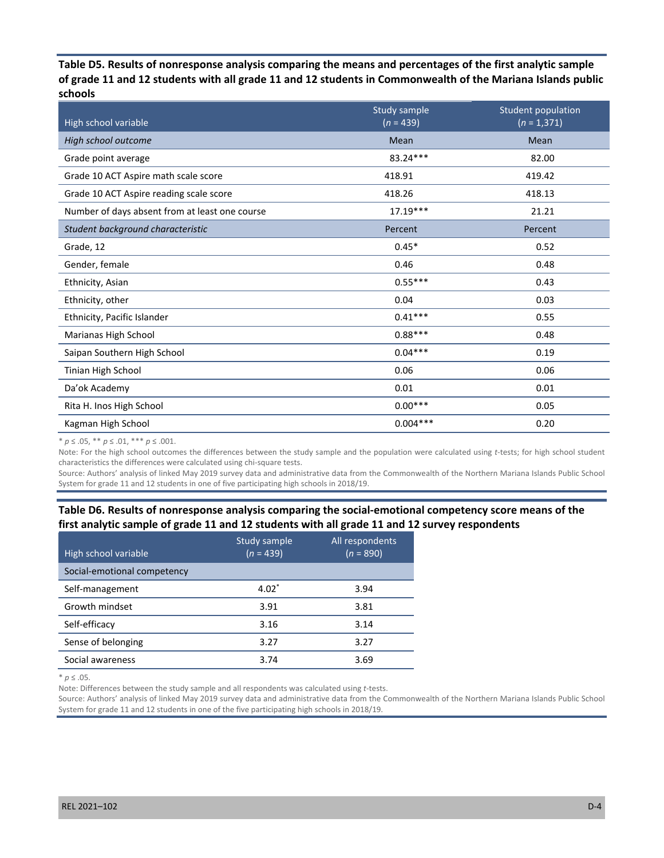**Table D5. Results of nonresponse analysis comparing the means and percentages of the first analytic sample of grade 11 and 12 students with all grade 11 and 12 students in Commonwealth of the Mariana Islands public schools** 

| High school variable                           | Study sample<br>$\sqrt{n}$ = 439) | <b>Student population</b><br>$(n = 1,371)$ |
|------------------------------------------------|-----------------------------------|--------------------------------------------|
| High school outcome                            | Mean                              | Mean                                       |
| Grade point average                            | 83.24***                          | 82.00                                      |
| Grade 10 ACT Aspire math scale score           | 418.91                            | 419.42                                     |
| Grade 10 ACT Aspire reading scale score        | 418.26                            | 418.13                                     |
| Number of days absent from at least one course | $17.19***$                        | 21.21                                      |
| Student background characteristic              | Percent                           | Percent                                    |
| Grade, 12                                      | $0.45*$                           | 0.52                                       |
| Gender, female                                 | 0.46                              | 0.48                                       |
| Ethnicity, Asian                               | $0.55***$                         | 0.43                                       |
| Ethnicity, other                               | 0.04                              | 0.03                                       |
| Ethnicity, Pacific Islander                    | $0.41***$                         | 0.55                                       |
| Marianas High School                           | $0.88***$                         | 0.48                                       |
| Saipan Southern High School                    | $0.04***$                         | 0.19                                       |
| Tinian High School                             | 0.06                              | 0.06                                       |
| Da'ok Academy                                  | 0.01                              | 0.01                                       |
| Rita H. Inos High School                       | $0.00***$                         | 0.05                                       |
| Kagman High School                             | $0.004***$                        | 0.20                                       |

\* *p* ≤ .05, \*\* *p* ≤ .01, \*\*\* *p* ≤ .001.

Note: For the high school outcomes the differences between the study sample and the population were calculated using *t*-tests; for high school student characteristics the differences were calculated using chi-square tests.

Source: Authors' analysis of linked May 2019 survey data and administrative data from the Commonwealth of the Northern Mariana Islands Public School System for grade 11 and 12 students in one of five participating high schools in 2018/19.

## **Table D6. Results of nonresponse analysis comparing the social-emotional competency score means of the first analytic sample of grade 11 and 12 students with all grade 11 and 12 survey respondents**

| High school variable        | Study sample<br>$(n = 439)$ | All respondents<br>$(n = 890)$ |
|-----------------------------|-----------------------------|--------------------------------|
| Social-emotional competency |                             |                                |
| Self-management             | $4.02*$                     | 3.94                           |
| Growth mindset              | 3.91                        | 3.81                           |
| Self-efficacy               | 3.16                        | 3.14                           |
| Sense of belonging          | 3.27                        | 3.27                           |
| Social awareness            | 3.74                        | 3.69                           |

\* *p* ≤ .05.

Note: Differences between the study sample and all respondents was calculated using *t*-tests.

Source: Authors' analysis of linked May 2019 survey data and administrative data from the Commonwealth of the Northern Mariana Islands Public School System for grade 11 and 12 students in one of the five participating high schools in 2018/19.